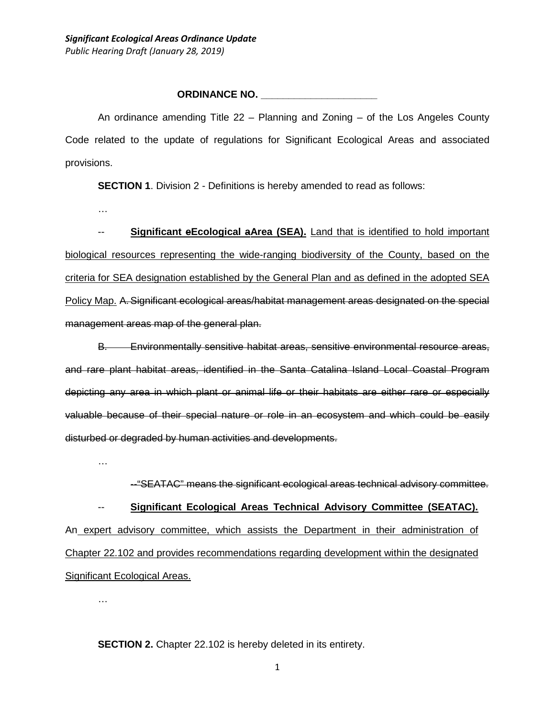#### **ORDINANCE NO. \_\_\_\_\_\_\_\_\_\_\_\_\_\_\_\_\_\_\_\_\_**

An ordinance amending Title 22 – Planning and Zoning – of the Los Angeles County Code related to the update of regulations for Significant Ecological Areas and associated provisions.

**SECTION 1.** Division 2 - Definitions is hereby amended to read as follows:

…

-- **Significant eEcological aArea (SEA).** Land that is identified to hold important biological resources representing the wide-ranging biodiversity of the County, based on the criteria for SEA designation established by the General Plan and as defined in the adopted SEA Policy Map. A. Significant ecological areas/habitat management areas designated on the special management areas map of the general plan.

B. Environmentally sensitive habitat areas, sensitive environmental resource areas, and rare plant habitat areas, identified in the Santa Catalina Island Local Coastal Program depicting any area in which plant or animal life or their habitats are either rare or especially valuable because of their special nature or role in an ecosystem and which could be easily disturbed or degraded by human activities and developments.

…

--"SEATAC" means the significant ecological areas technical advisory committee.

-- **Significant Ecological Areas Technical Advisory Committee (SEATAC).** An expert advisory committee, which assists the Department in their administration of

Chapter 22.102 and provides recommendations regarding development within the designated Significant Ecological Areas.

…

**SECTION 2.** Chapter 22.102 is hereby deleted in its entirety.

1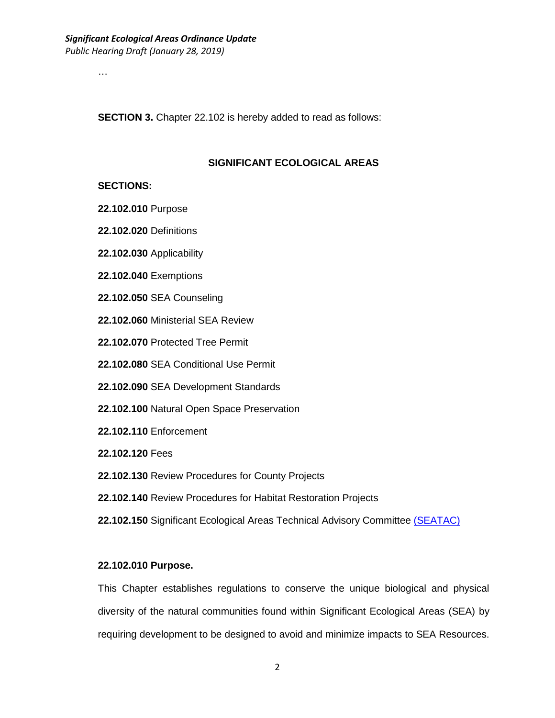…

**SECTION 3.** Chapter 22.102 is hereby added to read as follows:

#### **SIGNIFICANT ECOLOGICAL AREAS**

#### **SECTIONS:**

- **22.102.010** Purpose
- **22.102.020** Definitions
- **22.102.030** Applicability
- **22.102.040** Exemptions
- **22.102.050** SEA Counseling
- **22.102.060** Ministerial SEA Review
- **22.102.070** Protected Tree Permit
- **22.102.080** SEA Conditional Use Permit
- **22.102.090** SEA Development Standards
- **22.102.100** Natural Open Space Preservation
- **22.102.110** Enforcement
- **22.102.120** Fees
- **22.102.130** Review Procedures for County Projects
- **22.102.140** Review Procedures for Habitat Restoration Projects
- **22.102.150** Significant Ecological Areas Technical Advisory Committee (SEATAC)

#### **22.102.010 Purpose.**

This Chapter establishes regulations to conserve the unique biological and physical diversity of the natural communities found within Significant Ecological Areas (SEA) by requiring development to be designed to avoid and minimize impacts to SEA Resources.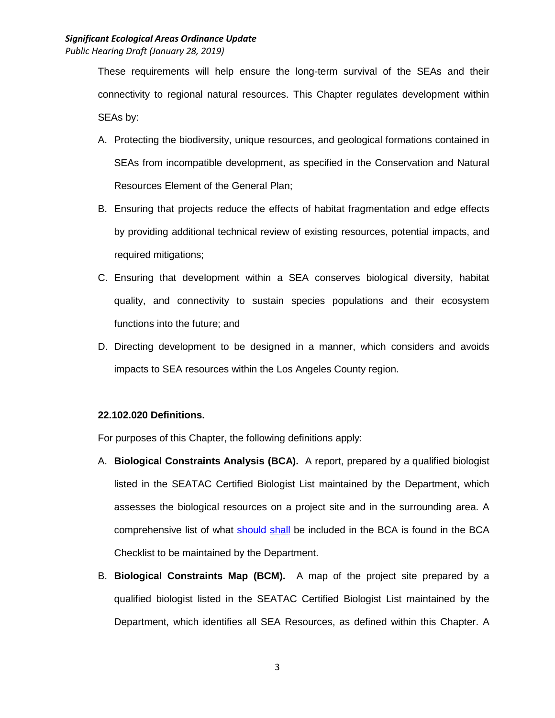*Public Hearing Draft (January 28, 2019)*

These requirements will help ensure the long-term survival of the SEAs and their connectivity to regional natural resources. This Chapter regulates development within SEAs by:

- A. Protecting the biodiversity, unique resources, and geological formations contained in SEAs from incompatible development, as specified in the Conservation and Natural Resources Element of the General Plan;
- B. Ensuring that projects reduce the effects of habitat fragmentation and edge effects by providing additional technical review of existing resources, potential impacts, and required mitigations;
- C. Ensuring that development within a SEA conserves biological diversity, habitat quality, and connectivity to sustain species populations and their ecosystem functions into the future; and
- D. Directing development to be designed in a manner, which considers and avoids impacts to SEA resources within the Los Angeles County region.

## **22.102.020 Definitions.**

For purposes of this Chapter, the following definitions apply:

- A. **Biological Constraints Analysis (BCA).** A report, prepared by a qualified biologist listed in the SEATAC Certified Biologist List maintained by the Department, which assesses the biological resources on a project site and in the surrounding area. A comprehensive list of what should shall be included in the BCA is found in the BCA Checklist to be maintained by the Department.
- B. **Biological Constraints Map (BCM).** A map of the project site prepared by a qualified biologist listed in the SEATAC Certified Biologist List maintained by the Department, which identifies all SEA Resources, as defined within this Chapter. A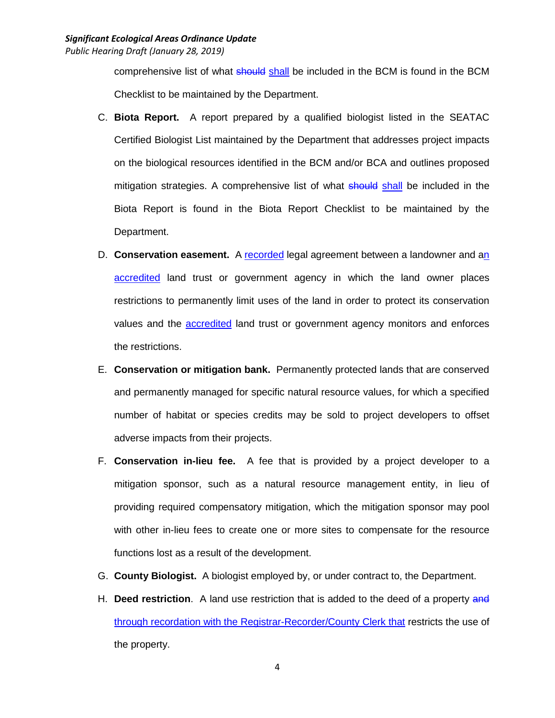comprehensive list of what should shall be included in the BCM is found in the BCM Checklist to be maintained by the Department.

- C. **Biota Report.** A report prepared by a qualified biologist listed in the SEATAC Certified Biologist List maintained by the Department that addresses project impacts on the biological resources identified in the BCM and/or BCA and outlines proposed mitigation strategies. A comprehensive list of what should shall be included in the Biota Report is found in the Biota Report Checklist to be maintained by the Department.
- D. **Conservation easement.** A recorded legal agreement between a landowner and an accredited land trust or government agency in which the land owner places restrictions to permanently limit uses of the land in order to protect its conservation values and the **accredited** land trust or government agency monitors and enforces the restrictions.
- E. **Conservation or mitigation bank.** Permanently protected lands that are conserved and permanently managed for specific natural resource values, for which a specified number of habitat or species credits may be sold to project developers to offset adverse impacts from their projects.
- F. **Conservation in-lieu fee.** A fee that is provided by a project developer to a mitigation sponsor, such as a natural resource management entity, in lieu of providing required compensatory mitigation, which the mitigation sponsor may pool with other in-lieu fees to create one or more sites to compensate for the resource functions lost as a result of the development.
- G. **County Biologist.** A biologist employed by, or under contract to, the Department.
- H. **Deed restriction**. A land use restriction that is added to the deed of a property and through recordation with the Registrar-Recorder/County Clerk that restricts the use of the property.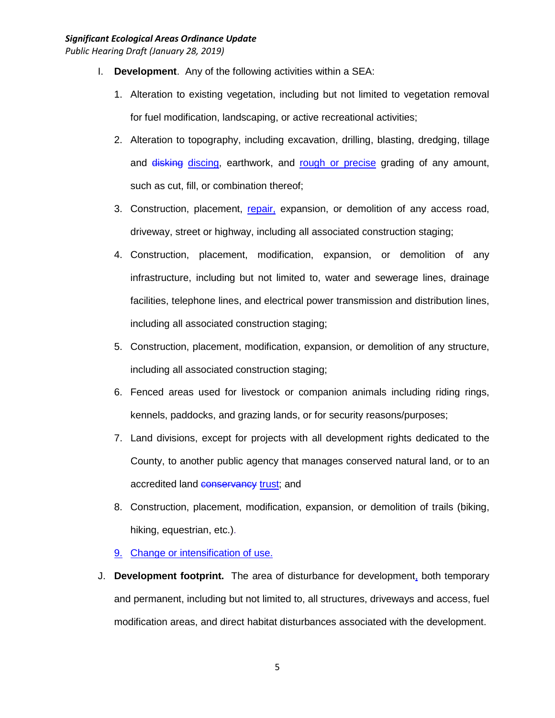- I. **Development**. Any of the following activities within a SEA:
	- 1. Alteration to existing vegetation, including but not limited to vegetation removal for fuel modification, landscaping, or active recreational activities;
	- 2. Alteration to topography, including excavation, drilling, blasting, dredging, tillage and disking discing, earthwork, and rough or precise grading of any amount, such as cut, fill, or combination thereof;
	- 3. Construction, placement, repair, expansion, or demolition of any access road, driveway, street or highway, including all associated construction staging;
	- 4. Construction, placement, modification, expansion, or demolition of any infrastructure, including but not limited to, water and sewerage lines, drainage facilities, telephone lines, and electrical power transmission and distribution lines, including all associated construction staging;
	- 5. Construction, placement, modification, expansion, or demolition of any structure, including all associated construction staging;
	- 6. Fenced areas used for livestock or companion animals including riding rings, kennels, paddocks, and grazing lands, or for security reasons/purposes;
	- 7. Land divisions, except for projects with all development rights dedicated to the County, to another public agency that manages conserved natural land, or to an accredited land **conservancy** trust; and
	- 8. Construction, placement, modification, expansion, or demolition of trails (biking, hiking, equestrian, etc.).
	- 9. Change or intensification of use.
- J. **Development footprint.** The area of disturbance for development, both temporary and permanent, including but not limited to, all structures, driveways and access, fuel modification areas, and direct habitat disturbances associated with the development.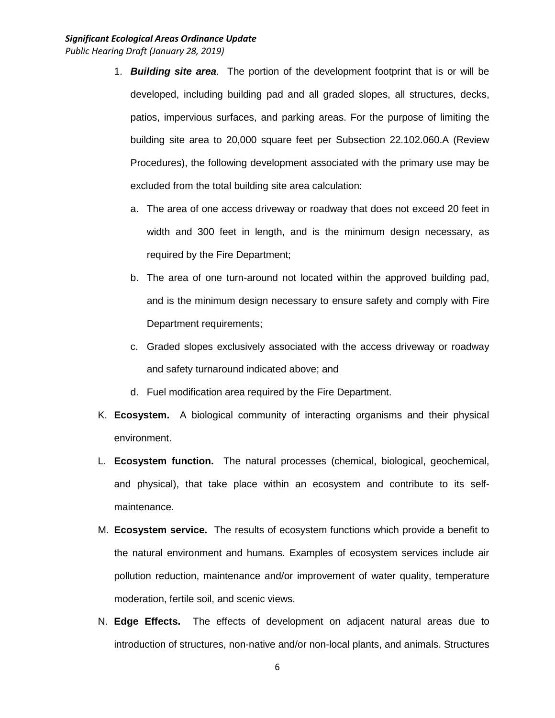- 1. *Building site area*. The portion of the development footprint that is or will be developed, including building pad and all graded slopes, all structures, decks, patios, impervious surfaces, and parking areas. For the purpose of limiting the building site area to 20,000 square feet per Subsection 22.102.060.A (Review Procedures), the following development associated with the primary use may be excluded from the total building site area calculation:
	- a. The area of one access driveway or roadway that does not exceed 20 feet in width and 300 feet in length, and is the minimum design necessary, as required by the Fire Department;
	- b. The area of one turn-around not located within the approved building pad, and is the minimum design necessary to ensure safety and comply with Fire Department requirements;
	- c. Graded slopes exclusively associated with the access driveway or roadway and safety turnaround indicated above; and
	- d. Fuel modification area required by the Fire Department.
- K. **Ecosystem.** A biological community of interacting organisms and their physical environment.
- L. **Ecosystem function.** The natural processes (chemical, biological, geochemical, and physical), that take place within an ecosystem and contribute to its selfmaintenance.
- M. **Ecosystem service.** The results of ecosystem functions which provide a benefit to the natural environment and humans. Examples of ecosystem services include air pollution reduction, maintenance and/or improvement of water quality, temperature moderation, fertile soil, and scenic views.
- N. **Edge Effects.** The effects of development on adjacent natural areas due to introduction of structures, non-native and/or non-local plants, and animals. Structures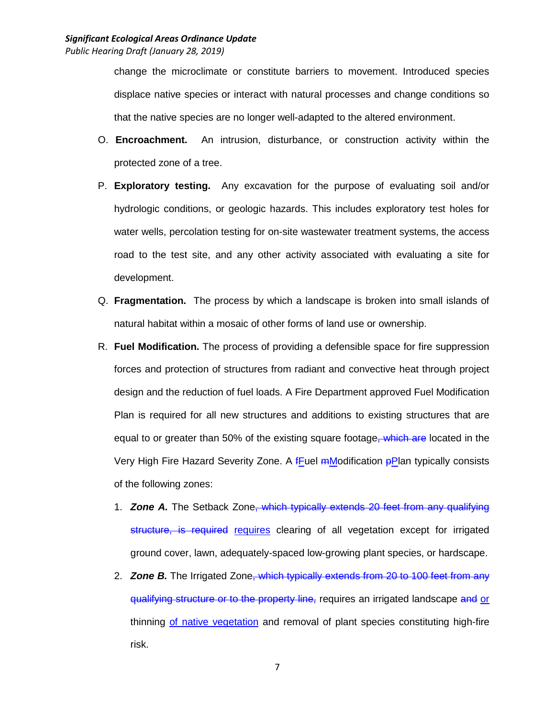change the microclimate or constitute barriers to movement. Introduced species displace native species or interact with natural processes and change conditions so that the native species are no longer well-adapted to the altered environment.

- O. **Encroachment.** An intrusion, disturbance, or construction activity within the protected zone of a tree.
- P. **Exploratory testing.** Any excavation for the purpose of evaluating soil and/or hydrologic conditions, or geologic hazards. This includes exploratory test holes for water wells, percolation testing for on-site wastewater treatment systems, the access road to the test site, and any other activity associated with evaluating a site for development.
- Q. **Fragmentation.** The process by which a landscape is broken into small islands of natural habitat within a mosaic of other forms of land use or ownership.
- R. **Fuel Modification.** The process of providing a defensible space for fire suppression forces and protection of structures from radiant and convective heat through project design and the reduction of fuel loads. A Fire Department approved Fuel Modification Plan is required for all new structures and additions to existing structures that are equal to or greater than 50% of the existing square footage, which are located in the Very High Fire Hazard Severity Zone. A **fFuel mModification pPlan typically consists** of the following zones:
	- 1. *Zone A.* The Setback Zone, which typically extends 20 feet from any qualifying structure, is required requires clearing of all vegetation except for irrigated ground cover, lawn, adequately-spaced low-growing plant species, or hardscape.
	- 2. *Zone B.* The Irrigated Zone, which typically extends from 20 to 100 feet from any qualifying structure or to the property line, requires an irrigated landscape and or thinning of native vegetation and removal of plant species constituting high-fire risk.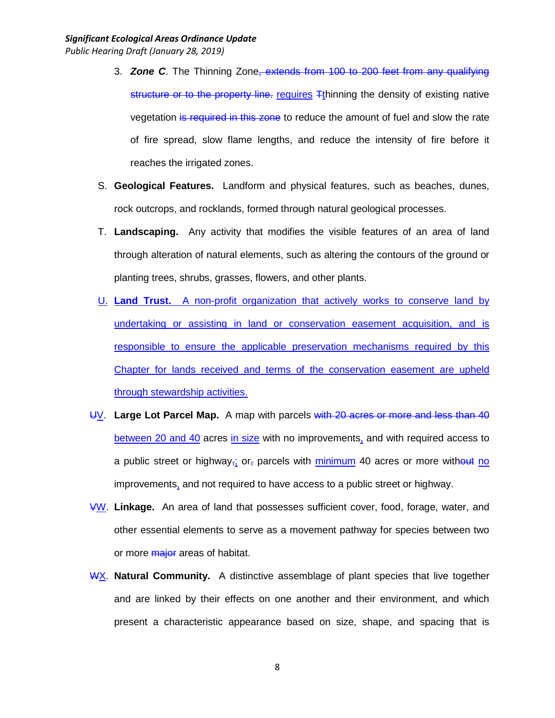- 3. *Zone C*. The Thinning Zone, extends from 100 to 200 feet from any qualifying structure or to the property line. requires  $F$ thinning the density of existing native vegetation is required in this zone to reduce the amount of fuel and slow the rate of fire spread, slow flame lengths, and reduce the intensity of fire before it reaches the irrigated zones.
- S. **Geological Features.** Landform and physical features, such as beaches, dunes, rock outcrops, and rocklands, formed through natural geological processes.
- T. **Landscaping.** Any activity that modifies the visible features of an area of land through alteration of natural elements, such as altering the contours of the ground or planting trees, shrubs, grasses, flowers, and other plants.
- U. **Land Trust.** A non-profit organization that actively works to conserve land by undertaking or assisting in land or conservation easement acquisition, and is responsible to ensure the applicable preservation mechanisms required by this Chapter for lands received and terms of the conservation easement are upheld through stewardship activities.
- UV. **Large Lot Parcel Map.** A map with parcels with 20 acres or more and less than 40 between 20 and 40 acres in size with no improvements, and with required access to a public street or highway<sub>r</sub>; or, parcels with minimum 40 acres or more without no improvements, and not required to have access to a public street or highway.
- VW. **Linkage.** An area of land that possesses sufficient cover, food, forage, water, and other essential elements to serve as a movement pathway for species between two or more *major* areas of habitat.
- WX. **Natural Community.** A distinctive assemblage of plant species that live together and are linked by their effects on one another and their environment, and which present a characteristic appearance based on size, shape, and spacing that is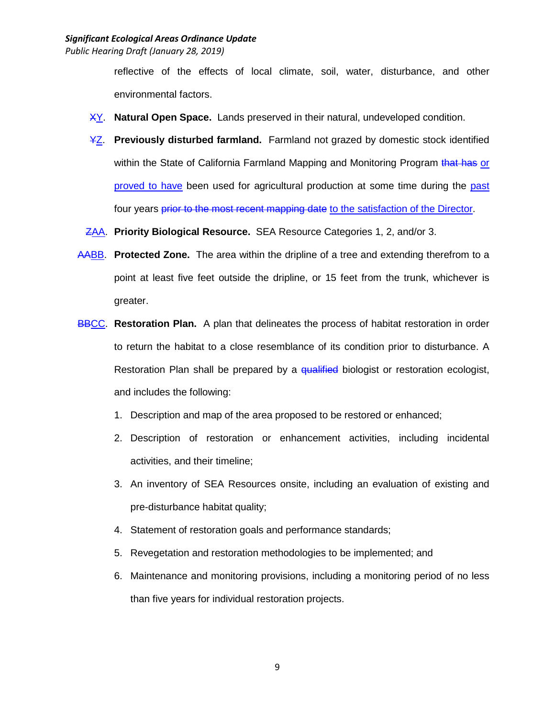reflective of the effects of local climate, soil, water, disturbance, and other environmental factors.

- XY. **Natural Open Space.** Lands preserved in their natural, undeveloped condition.
- YZ. **Previously disturbed farmland.** Farmland not grazed by domestic stock identified within the State of California Farmland Mapping and Monitoring Program that has or proved to have been used for agricultural production at some time during the past four years prior to the most recent mapping date to the satisfaction of the Director.
- ZAA. **Priority Biological Resource.** SEA Resource Categories 1, 2, and/or 3.
- AABB. **Protected Zone.** The area within the dripline of a tree and extending therefrom to a point at least five feet outside the dripline, or 15 feet from the trunk, whichever is greater.
- **BBCC. Restoration Plan.** A plan that delineates the process of habitat restoration in order to return the habitat to a close resemblance of its condition prior to disturbance. A Restoration Plan shall be prepared by a qualified biologist or restoration ecologist, and includes the following:
	- 1. Description and map of the area proposed to be restored or enhanced;
	- 2. Description of restoration or enhancement activities, including incidental activities, and their timeline;
	- 3. An inventory of SEA Resources onsite, including an evaluation of existing and pre-disturbance habitat quality;
	- 4. Statement of restoration goals and performance standards;
	- 5. Revegetation and restoration methodologies to be implemented; and
	- 6. Maintenance and monitoring provisions, including a monitoring period of no less than five years for individual restoration projects.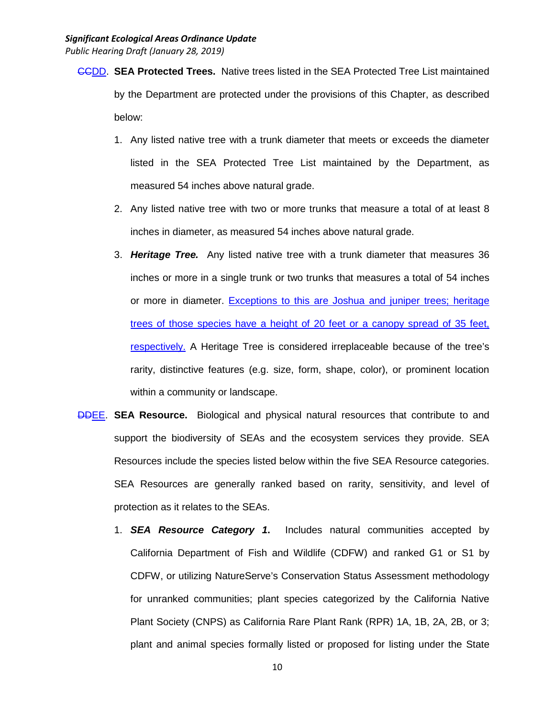- CCDD. **SEA Protected Trees.** Native trees listed in the SEA Protected Tree List maintained by the Department are protected under the provisions of this Chapter, as described below:
	- 1. Any listed native tree with a trunk diameter that meets or exceeds the diameter listed in the SEA Protected Tree List maintained by the Department, as measured 54 inches above natural grade.
	- 2. Any listed native tree with two or more trunks that measure a total of at least 8 inches in diameter, as measured 54 inches above natural grade.
	- 3. *Heritage Tree.* Any listed native tree with a trunk diameter that measures 36 inches or more in a single trunk or two trunks that measures a total of 54 inches or more in diameter. Exceptions to this are Joshua and juniper trees; heritage trees of those species have a height of 20 feet or a canopy spread of 35 feet, respectively. A Heritage Tree is considered irreplaceable because of the tree's rarity, distinctive features (e.g. size, form, shape, color), or prominent location within a community or landscape.
- DDEE. **SEA Resource.** Biological and physical natural resources that contribute to and support the biodiversity of SEAs and the ecosystem services they provide. SEA Resources include the species listed below within the five SEA Resource categories. SEA Resources are generally ranked based on rarity, sensitivity, and level of protection as it relates to the SEAs.
	- 1. *SEA Resource Category 1***.** Includes natural communities accepted by California Department of Fish and Wildlife (CDFW) and ranked G1 or S1 by CDFW, or utilizing NatureServe's Conservation Status Assessment methodology for unranked communities; plant species categorized by the California Native Plant Society (CNPS) as California Rare Plant Rank (RPR) 1A, 1B, 2A, 2B, or 3; plant and animal species formally listed or proposed for listing under the State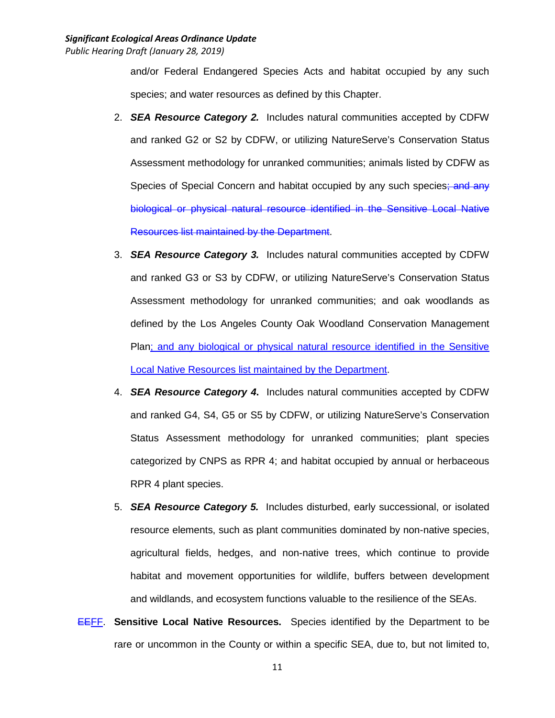and/or Federal Endangered Species Acts and habitat occupied by any such species; and water resources as defined by this Chapter.

- 2. *SEA Resource Category 2.* Includes natural communities accepted by CDFW and ranked G2 or S2 by CDFW, or utilizing NatureServe's Conservation Status Assessment methodology for unranked communities; animals listed by CDFW as Species of Special Concern and habitat occupied by any such species; and any biological or physical natural resource identified in the Sensitive Local Native Resources list maintained by the Department.
- 3. *SEA Resource Category 3.* Includes natural communities accepted by CDFW and ranked G3 or S3 by CDFW, or utilizing NatureServe's Conservation Status Assessment methodology for unranked communities; and oak woodlands as defined by the Los Angeles County Oak Woodland Conservation Management Plan; and any biological or physical natural resource identified in the Sensitive Local Native Resources list maintained by the Department.
- 4. *SEA Resource Category 4***.** Includes natural communities accepted by CDFW and ranked G4, S4, G5 or S5 by CDFW, or utilizing NatureServe's Conservation Status Assessment methodology for unranked communities; plant species categorized by CNPS as RPR 4; and habitat occupied by annual or herbaceous RPR 4 plant species.
- 5. *SEA Resource Category 5.* Includes disturbed, early successional, or isolated resource elements, such as plant communities dominated by non-native species, agricultural fields, hedges, and non-native trees, which continue to provide habitat and movement opportunities for wildlife, buffers between development and wildlands, and ecosystem functions valuable to the resilience of the SEAs.
- EEFF. **Sensitive Local Native Resources.** Species identified by the Department to be rare or uncommon in the County or within a specific SEA, due to, but not limited to,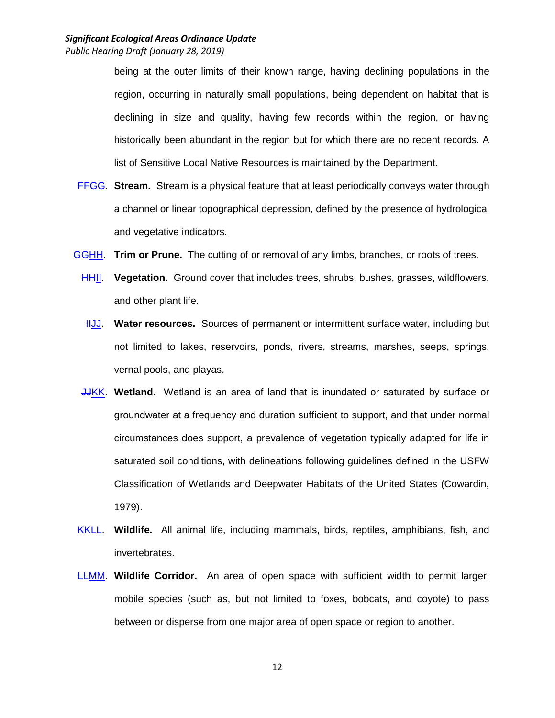being at the outer limits of their known range, having declining populations in the region, occurring in naturally small populations, being dependent on habitat that is declining in size and quality, having few records within the region, or having historically been abundant in the region but for which there are no recent records. A list of Sensitive Local Native Resources is maintained by the Department.

- FFGG. **Stream.** Stream is a physical feature that at least periodically conveys water through a channel or linear topographical depression, defined by the presence of hydrological and vegetative indicators.
- GGHH. **Trim or Prune.** The cutting of or removal of any limbs, branches, or roots of trees.
	- HHII. **Vegetation.** Ground cover that includes trees, shrubs, bushes, grasses, wildflowers, and other plant life.
	- HUU. Water resources. Sources of permanent or intermittent surface water, including but not limited to lakes, reservoirs, ponds, rivers, streams, marshes, seeps, springs, vernal pools, and playas.
	- JJKK. **Wetland.** Wetland is an area of land that is inundated or saturated by surface or groundwater at a frequency and duration sufficient to support, and that under normal circumstances does support, a prevalence of vegetation typically adapted for life in saturated soil conditions, with delineations following guidelines defined in the USFW Classification of Wetlands and Deepwater Habitats of the United States (Cowardin, 1979).
- KKLL. **Wildlife.** All animal life, including mammals, birds, reptiles, amphibians, fish, and invertebrates.
- LLMM. **Wildlife Corridor.** An area of open space with sufficient width to permit larger, mobile species (such as, but not limited to foxes, bobcats, and coyote) to pass between or disperse from one major area of open space or region to another.

12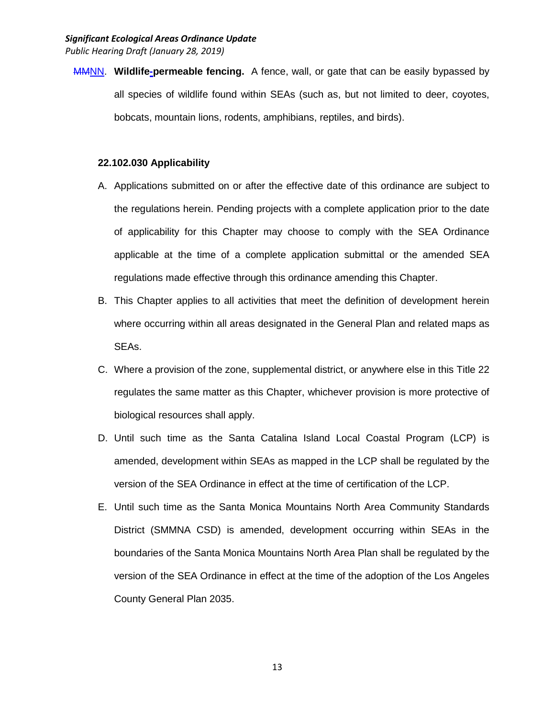MMNN. **Wildlife-permeable fencing.** A fence, wall, or gate that can be easily bypassed by all species of wildlife found within SEAs (such as, but not limited to deer, coyotes, bobcats, mountain lions, rodents, amphibians, reptiles, and birds).

#### **22.102.030 Applicability**

- A. Applications submitted on or after the effective date of this ordinance are subject to the regulations herein. Pending projects with a complete application prior to the date of applicability for this Chapter may choose to comply with the SEA Ordinance applicable at the time of a complete application submittal or the amended SEA regulations made effective through this ordinance amending this Chapter.
- B. This Chapter applies to all activities that meet the definition of development herein where occurring within all areas designated in the General Plan and related maps as SEAs.
- C. Where a provision of the zone, supplemental district, or anywhere else in this Title 22 regulates the same matter as this Chapter, whichever provision is more protective of biological resources shall apply.
- D. Until such time as the Santa Catalina Island Local Coastal Program (LCP) is amended, development within SEAs as mapped in the LCP shall be regulated by the version of the SEA Ordinance in effect at the time of certification of the LCP.
- E. Until such time as the Santa Monica Mountains North Area Community Standards District (SMMNA CSD) is amended, development occurring within SEAs in the boundaries of the Santa Monica Mountains North Area Plan shall be regulated by the version of the SEA Ordinance in effect at the time of the adoption of the Los Angeles County General Plan 2035.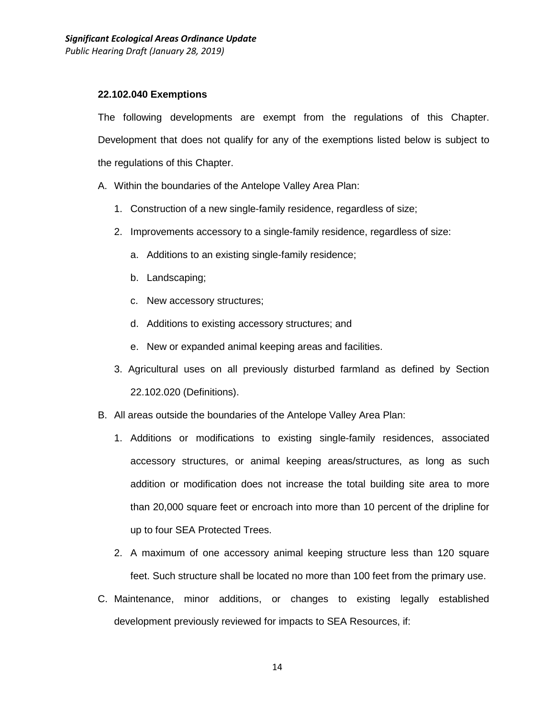#### **22.102.040 Exemptions**

The following developments are exempt from the regulations of this Chapter. Development that does not qualify for any of the exemptions listed below is subject to the regulations of this Chapter.

- A. Within the boundaries of the Antelope Valley Area Plan:
	- 1. Construction of a new single-family residence, regardless of size;
	- 2. Improvements accessory to a single-family residence, regardless of size:
		- a. Additions to an existing single-family residence;
		- b. Landscaping;
		- c. New accessory structures;
		- d. Additions to existing accessory structures; and
		- e. New or expanded animal keeping areas and facilities.
	- 3. Agricultural uses on all previously disturbed farmland as defined by Section 22.102.020 (Definitions).
- B. All areas outside the boundaries of the Antelope Valley Area Plan:
	- 1. Additions or modifications to existing single-family residences, associated accessory structures, or animal keeping areas/structures, as long as such addition or modification does not increase the total building site area to more than 20,000 square feet or encroach into more than 10 percent of the dripline for up to four SEA Protected Trees.
	- 2. A maximum of one accessory animal keeping structure less than 120 square feet. Such structure shall be located no more than 100 feet from the primary use.
- C. Maintenance, minor additions, or changes to existing legally established development previously reviewed for impacts to SEA Resources, if: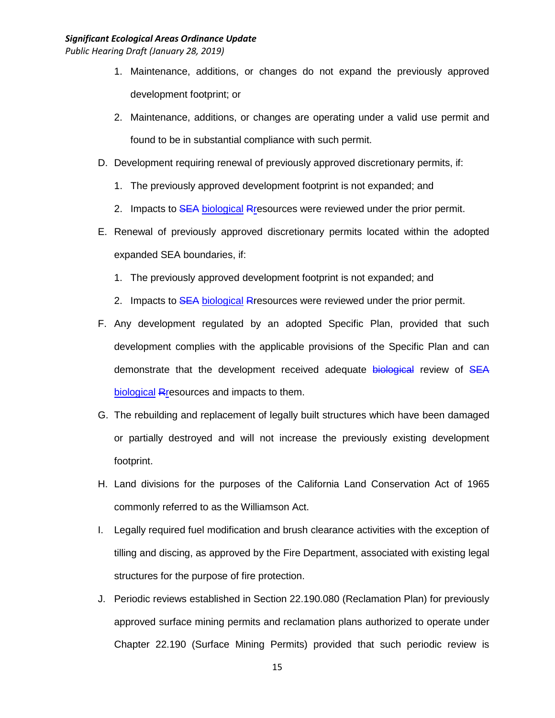- 1. Maintenance, additions, or changes do not expand the previously approved development footprint; or
- 2. Maintenance, additions, or changes are operating under a valid use permit and found to be in substantial compliance with such permit.
- D. Development requiring renewal of previously approved discretionary permits, if:
	- 1. The previously approved development footprint is not expanded; and
	- 2. Impacts to SEA biological Rresources were reviewed under the prior permit.
- E. Renewal of previously approved discretionary permits located within the adopted expanded SEA boundaries, if:
	- 1. The previously approved development footprint is not expanded; and
	- 2. Impacts to SEA biological Rresources were reviewed under the prior permit.
- F. Any development regulated by an adopted Specific Plan, provided that such development complies with the applicable provisions of the Specific Plan and can demonstrate that the development received adequate biological review of SEA biological Rresources and impacts to them.
- G. The rebuilding and replacement of legally built structures which have been damaged or partially destroyed and will not increase the previously existing development footprint.
- H. Land divisions for the purposes of the California Land Conservation Act of 1965 commonly referred to as the Williamson Act.
- I. Legally required fuel modification and brush clearance activities with the exception of tilling and discing, as approved by the Fire Department, associated with existing legal structures for the purpose of fire protection.
- J. Periodic reviews established in Section 22.190.080 (Reclamation Plan) for previously approved surface mining permits and reclamation plans authorized to operate under Chapter 22.190 (Surface Mining Permits) provided that such periodic review is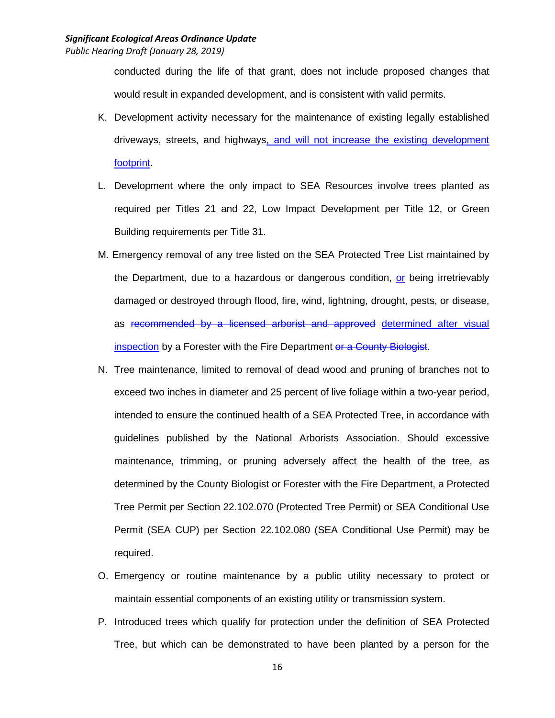conducted during the life of that grant, does not include proposed changes that would result in expanded development, and is consistent with valid permits.

- K. Development activity necessary for the maintenance of existing legally established driveways, streets, and highways, and will not increase the existing development footprint.
- L. Development where the only impact to SEA Resources involve trees planted as required per Titles 21 and 22, Low Impact Development per Title 12, or Green Building requirements per Title 31.
- M. Emergency removal of any tree listed on the SEA Protected Tree List maintained by the Department, due to a hazardous or dangerous condition, or being irretrievably damaged or destroyed through flood, fire, wind, lightning, drought, pests, or disease, as recommended by a licensed arborist and approved determined after visual inspection by a Forester with the Fire Department or a County Biologist.
- N. Tree maintenance, limited to removal of dead wood and pruning of branches not to exceed two inches in diameter and 25 percent of live foliage within a two-year period, intended to ensure the continued health of a SEA Protected Tree, in accordance with guidelines published by the National Arborists Association. Should excessive maintenance, trimming, or pruning adversely affect the health of the tree, as determined by the County Biologist or Forester with the Fire Department, a Protected Tree Permit per Section 22.102.070 (Protected Tree Permit) or SEA Conditional Use Permit (SEA CUP) per Section 22.102.080 (SEA Conditional Use Permit) may be required.
- O. Emergency or routine maintenance by a public utility necessary to protect or maintain essential components of an existing utility or transmission system.
- P. Introduced trees which qualify for protection under the definition of SEA Protected Tree, but which can be demonstrated to have been planted by a person for the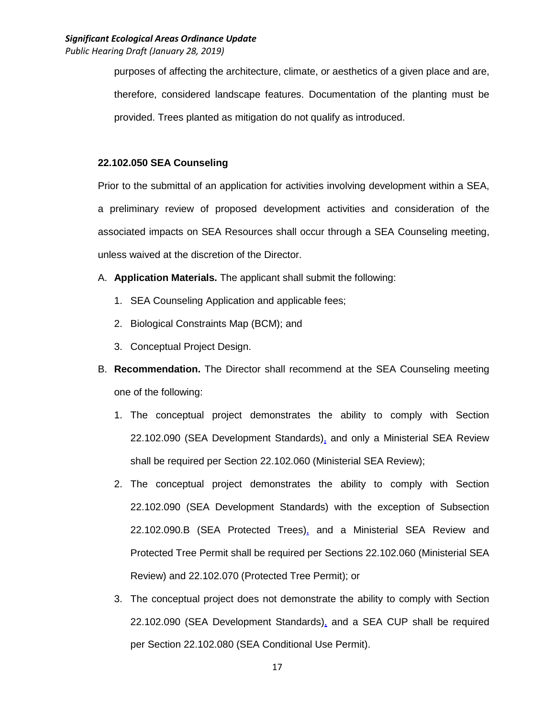*Public Hearing Draft (January 28, 2019)*

purposes of affecting the architecture, climate, or aesthetics of a given place and are, therefore, considered landscape features. Documentation of the planting must be provided. Trees planted as mitigation do not qualify as introduced.

#### **22.102.050 SEA Counseling**

Prior to the submittal of an application for activities involving development within a SEA, a preliminary review of proposed development activities and consideration of the associated impacts on SEA Resources shall occur through a SEA Counseling meeting, unless waived at the discretion of the Director.

- A. **Application Materials.** The applicant shall submit the following:
	- 1. SEA Counseling Application and applicable fees;
	- 2. Biological Constraints Map (BCM); and
	- 3. Conceptual Project Design.
- B. **Recommendation.** The Director shall recommend at the SEA Counseling meeting one of the following:
	- 1. The conceptual project demonstrates the ability to comply with Section 22.102.090 (SEA Development Standards), and only a Ministerial SEA Review shall be required per Section 22.102.060 (Ministerial SEA Review);
	- 2. The conceptual project demonstrates the ability to comply with Section 22.102.090 (SEA Development Standards) with the exception of Subsection 22.102.090.B (SEA Protected Trees), and a Ministerial SEA Review and Protected Tree Permit shall be required per Sections 22.102.060 (Ministerial SEA Review) and 22.102.070 (Protected Tree Permit); or
	- 3. The conceptual project does not demonstrate the ability to comply with Section 22.102.090 (SEA Development Standards), and a SEA CUP shall be required per Section 22.102.080 (SEA Conditional Use Permit).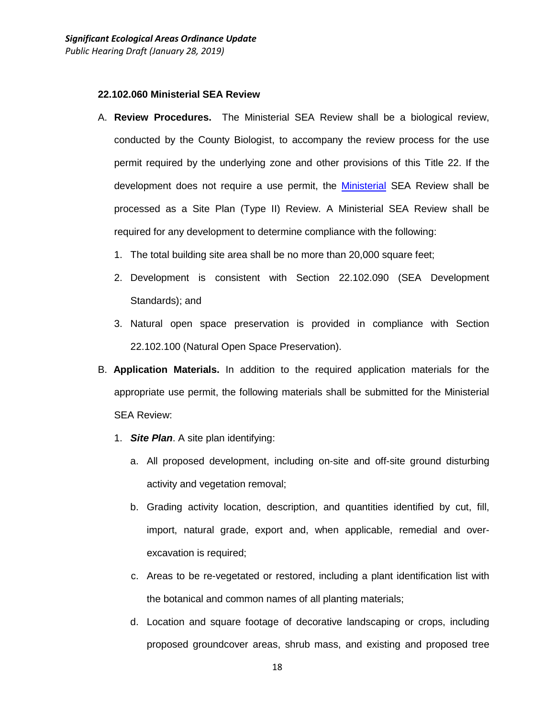#### **22.102.060 Ministerial SEA Review**

- A. **Review Procedures.** The Ministerial SEA Review shall be a biological review, conducted by the County Biologist, to accompany the review process for the use permit required by the underlying zone and other provisions of this Title 22. If the development does not require a use permit, the Ministerial SEA Review shall be processed as a Site Plan (Type II) Review. A Ministerial SEA Review shall be required for any development to determine compliance with the following:
	- 1. The total building site area shall be no more than 20,000 square feet;
	- 2. Development is consistent with Section 22.102.090 (SEA Development Standards); and
	- 3. Natural open space preservation is provided in compliance with Section 22.102.100 (Natural Open Space Preservation).
- B. **Application Materials.** In addition to the required application materials for the appropriate use permit, the following materials shall be submitted for the Ministerial SEA Review:
	- 1. *Site Plan*. A site plan identifying:
		- a. All proposed development, including on-site and off-site ground disturbing activity and vegetation removal;
		- b. Grading activity location, description, and quantities identified by cut, fill, import, natural grade, export and, when applicable, remedial and overexcavation is required;
		- c. Areas to be re-vegetated or restored, including a plant identification list with the botanical and common names of all planting materials;
		- d. Location and square footage of decorative landscaping or crops, including proposed groundcover areas, shrub mass, and existing and proposed tree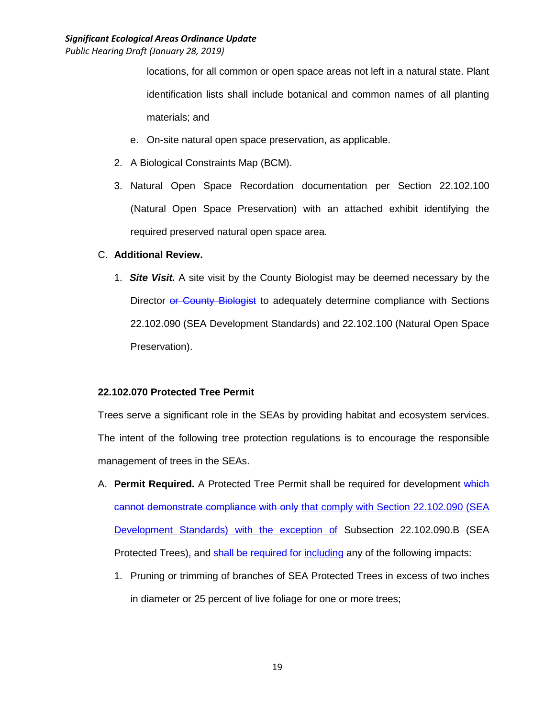*Public Hearing Draft (January 28, 2019)*

locations, for all common or open space areas not left in a natural state. Plant identification lists shall include botanical and common names of all planting materials; and

- e. On-site natural open space preservation, as applicable.
- 2. A Biological Constraints Map (BCM).
- 3. Natural Open Space Recordation documentation per Section 22.102.100 (Natural Open Space Preservation) with an attached exhibit identifying the required preserved natural open space area.

## C. **Additional Review.**

1. *Site Visit.* A site visit by the County Biologist may be deemed necessary by the Director or County Biologist to adequately determine compliance with Sections 22.102.090 (SEA Development Standards) and 22.102.100 (Natural Open Space Preservation).

## **22.102.070 Protected Tree Permit**

Trees serve a significant role in the SEAs by providing habitat and ecosystem services. The intent of the following tree protection regulations is to encourage the responsible management of trees in the SEAs.

- A. **Permit Required.** A Protected Tree Permit shall be required for development which cannot demonstrate compliance with only that comply with Section 22.102.090 (SEA Development Standards) with the exception of Subsection 22.102.090.B (SEA Protected Trees), and shall be required for including any of the following impacts:
	- 1. Pruning or trimming of branches of SEA Protected Trees in excess of two inches in diameter or 25 percent of live foliage for one or more trees;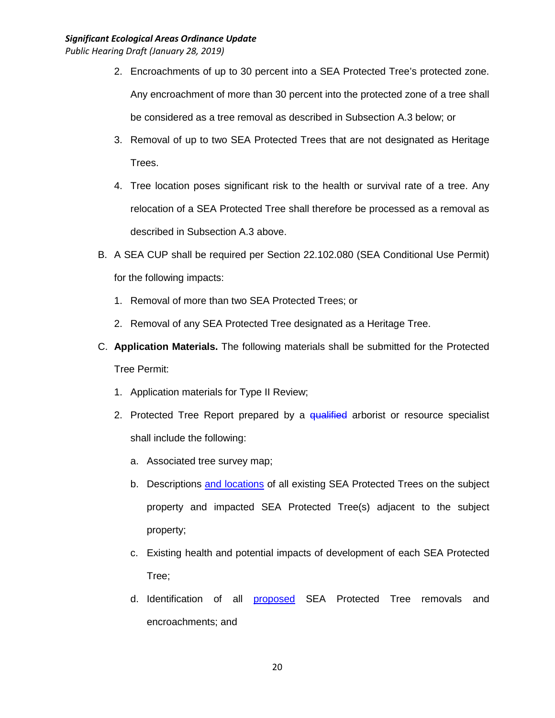*Public Hearing Draft (January 28, 2019)*

- 2. Encroachments of up to 30 percent into a SEA Protected Tree's protected zone. Any encroachment of more than 30 percent into the protected zone of a tree shall be considered as a tree removal as described in Subsection A.3 below; or
- 3. Removal of up to two SEA Protected Trees that are not designated as Heritage Trees.
- 4. Tree location poses significant risk to the health or survival rate of a tree. Any relocation of a SEA Protected Tree shall therefore be processed as a removal as described in Subsection A.3 above.
- B. A SEA CUP shall be required per Section 22.102.080 (SEA Conditional Use Permit) for the following impacts:
	- 1. Removal of more than two SEA Protected Trees; or
	- 2. Removal of any SEA Protected Tree designated as a Heritage Tree.
- C. **Application Materials.** The following materials shall be submitted for the Protected Tree Permit:
	- 1. Application materials for Type II Review;
	- 2. Protected Tree Report prepared by a qualified arborist or resource specialist shall include the following:
		- a. Associated tree survey map;
		- b. Descriptions and locations of all existing SEA Protected Trees on the subject property and impacted SEA Protected Tree(s) adjacent to the subject property;
		- c. Existing health and potential impacts of development of each SEA Protected Tree;
		- d. Identification of all proposed SEA Protected Tree removals and encroachments; and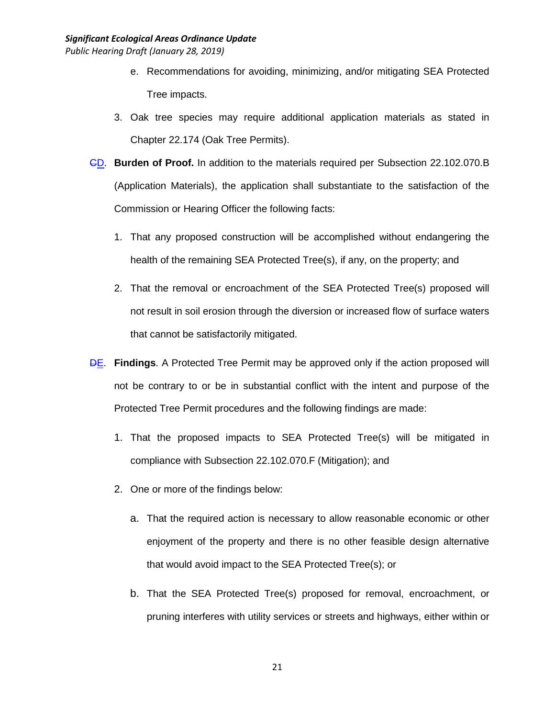- e. Recommendations for avoiding, minimizing, and/or mitigating SEA Protected Tree impacts.
- 3. Oak tree species may require additional application materials as stated in Chapter 22.174 (Oak Tree Permits).
- CD. **Burden of Proof.** In addition to the materials required per Subsection 22.102.070.B (Application Materials), the application shall substantiate to the satisfaction of the Commission or Hearing Officer the following facts:
	- 1. That any proposed construction will be accomplished without endangering the health of the remaining SEA Protected Tree(s), if any, on the property; and
	- 2. That the removal or encroachment of the SEA Protected Tree(s) proposed will not result in soil erosion through the diversion or increased flow of surface waters that cannot be satisfactorily mitigated.
- DE. **Findings**. A Protected Tree Permit may be approved only if the action proposed will not be contrary to or be in substantial conflict with the intent and purpose of the Protected Tree Permit procedures and the following findings are made:
	- 1. That the proposed impacts to SEA Protected Tree(s) will be mitigated in compliance with Subsection 22.102.070.F (Mitigation); and
	- 2. One or more of the findings below:
		- a. That the required action is necessary to allow reasonable economic or other enjoyment of the property and there is no other feasible design alternative that would avoid impact to the SEA Protected Tree(s); or
		- b. That the SEA Protected Tree(s) proposed for removal, encroachment, or pruning interferes with utility services or streets and highways, either within or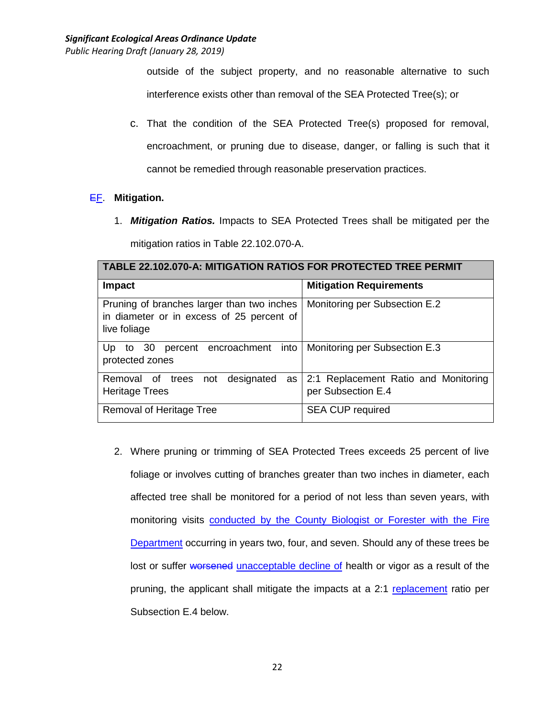outside of the subject property, and no reasonable alternative to such interference exists other than removal of the SEA Protected Tree(s); or

c. That the condition of the SEA Protected Tree(s) proposed for removal, encroachment, or pruning due to disease, danger, or falling is such that it cannot be remedied through reasonable preservation practices.

# EF. **Mitigation.**

1. *Mitigation Ratios.* Impacts to SEA Protected Trees shall be mitigated per the mitigation ratios in Table 22.102.070-A.

| <b>TABLE 22.102.070-A: MITIGATION RATIOS FOR PROTECTED TREE PERMIT</b>                                  |                                                            |  |  |
|---------------------------------------------------------------------------------------------------------|------------------------------------------------------------|--|--|
| <b>Impact</b>                                                                                           | <b>Mitigation Requirements</b>                             |  |  |
| Pruning of branches larger than two inches<br>in diameter or in excess of 25 percent of<br>live foliage | Monitoring per Subsection E.2                              |  |  |
| percent encroachment into   Monitoring per Subsection E.3<br>Up to $30$<br>protected zones              |                                                            |  |  |
| designated<br>trees<br>Removal of<br>not<br>as<br><b>Heritage Trees</b>                                 | 2:1 Replacement Ratio and Monitoring<br>per Subsection E.4 |  |  |
| Removal of Heritage Tree                                                                                | <b>SEA CUP required</b>                                    |  |  |

2. Where pruning or trimming of SEA Protected Trees exceeds 25 percent of live foliage or involves cutting of branches greater than two inches in diameter, each affected tree shall be monitored for a period of not less than seven years, with monitoring visits conducted by the County Biologist or Forester with the Fire Department occurring in years two, four, and seven. Should any of these trees be lost or suffer worsened unacceptable decline of health or vigor as a result of the pruning, the applicant shall mitigate the impacts at a 2:1 replacement ratio per Subsection E.4 below.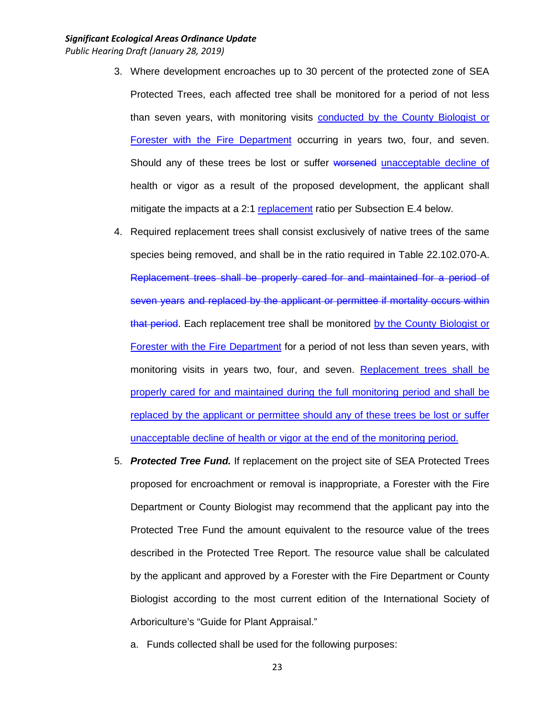- 3. Where development encroaches up to 30 percent of the protected zone of SEA Protected Trees, each affected tree shall be monitored for a period of not less than seven years, with monitoring visits conducted by the County Biologist or Forester with the Fire Department occurring in years two, four, and seven. Should any of these trees be lost or suffer worsened unacceptable decline of health or vigor as a result of the proposed development, the applicant shall mitigate the impacts at a 2:1 replacement ratio per Subsection E.4 below.
- 4. Required replacement trees shall consist exclusively of native trees of the same species being removed, and shall be in the ratio required in Table 22.102.070-A. Replacement trees shall be properly cared for and maintained for a period of seven years and replaced by the applicant or permittee if mortality occurs within that period. Each replacement tree shall be monitored by the County Biologist or Forester with the Fire Department for a period of not less than seven years, with monitoring visits in years two, four, and seven. Replacement trees shall be properly cared for and maintained during the full monitoring period and shall be replaced by the applicant or permittee should any of these trees be lost or suffer unacceptable decline of health or vigor at the end of the monitoring period.
- 5. *Protected Tree Fund.* If replacement on the project site of SEA Protected Trees proposed for encroachment or removal is inappropriate, a Forester with the Fire Department or County Biologist may recommend that the applicant pay into the Protected Tree Fund the amount equivalent to the resource value of the trees described in the Protected Tree Report. The resource value shall be calculated by the applicant and approved by a Forester with the Fire Department or County Biologist according to the most current edition of the International Society of Arboriculture's "Guide for Plant Appraisal."
	- a. Funds collected shall be used for the following purposes: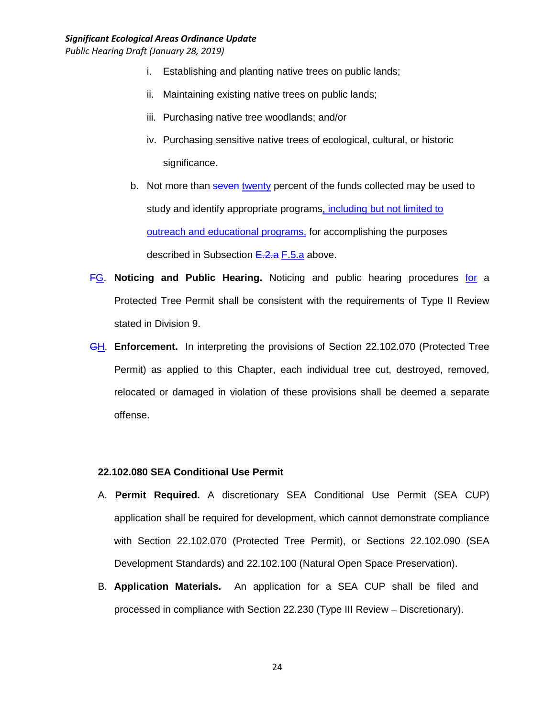*Public Hearing Draft (January 28, 2019)*

- i. Establishing and planting native trees on public lands;
- ii. Maintaining existing native trees on public lands;
- iii. Purchasing native tree woodlands; and/or
- iv. Purchasing sensitive native trees of ecological, cultural, or historic significance.
- b. Not more than seven twenty percent of the funds collected may be used to study and identify appropriate programs, including but not limited to outreach and educational programs, for accomplishing the purposes described in Subsection E.2.a F.5.a above.
- FG. **Noticing and Public Hearing.** Noticing and public hearing procedures for a Protected Tree Permit shall be consistent with the requirements of Type II Review stated in Division 9.
- GH. **Enforcement.** In interpreting the provisions of Section 22.102.070 (Protected Tree Permit) as applied to this Chapter, each individual tree cut, destroyed, removed, relocated or damaged in violation of these provisions shall be deemed a separate offense.

## **22.102.080 SEA Conditional Use Permit**

- A. **Permit Required.** A discretionary SEA Conditional Use Permit (SEA CUP) application shall be required for development, which cannot demonstrate compliance with Section 22.102.070 (Protected Tree Permit), or Sections 22.102.090 (SEA Development Standards) and 22.102.100 (Natural Open Space Preservation).
- B. **Application Materials.** An application for a SEA CUP shall be filed and processed in compliance with Section 22.230 (Type III Review – Discretionary).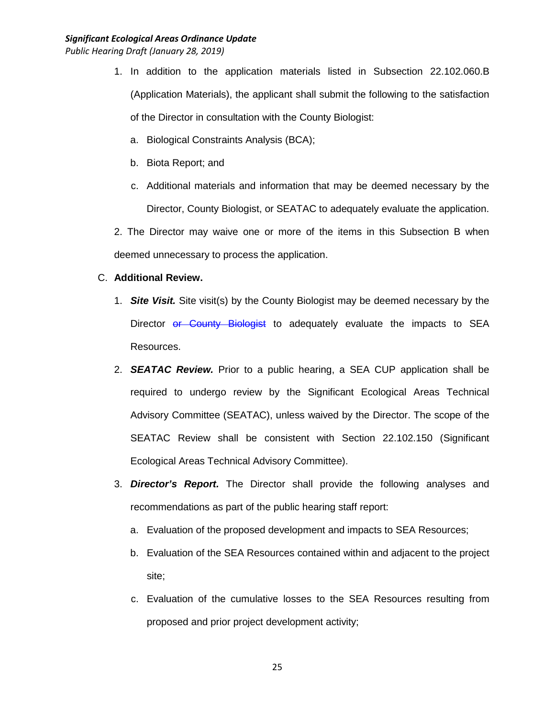*Public Hearing Draft (January 28, 2019)*

- 1. In addition to the application materials listed in Subsection 22.102.060.B (Application Materials), the applicant shall submit the following to the satisfaction of the Director in consultation with the County Biologist:
	- a. Biological Constraints Analysis (BCA);
	- b. Biota Report; and
	- c. Additional materials and information that may be deemed necessary by the Director, County Biologist, or SEATAC to adequately evaluate the application.

2. The Director may waive one or more of the items in this Subsection B when deemed unnecessary to process the application.

#### C. **Additional Review.**

- 1. *Site Visit.* Site visit(s) by the County Biologist may be deemed necessary by the Director or County Biologist to adequately evaluate the impacts to SEA Resources.
- 2. *SEATAC Review.* Prior to a public hearing, a SEA CUP application shall be required to undergo review by the Significant Ecological Areas Technical Advisory Committee (SEATAC), unless waived by the Director. The scope of the SEATAC Review shall be consistent with Section 22.102.150 (Significant Ecological Areas Technical Advisory Committee).
- 3. *Director's Report.* The Director shall provide the following analyses and recommendations as part of the public hearing staff report:
	- a. Evaluation of the proposed development and impacts to SEA Resources;
	- b. Evaluation of the SEA Resources contained within and adjacent to the project site;
	- c. Evaluation of the cumulative losses to the SEA Resources resulting from proposed and prior project development activity;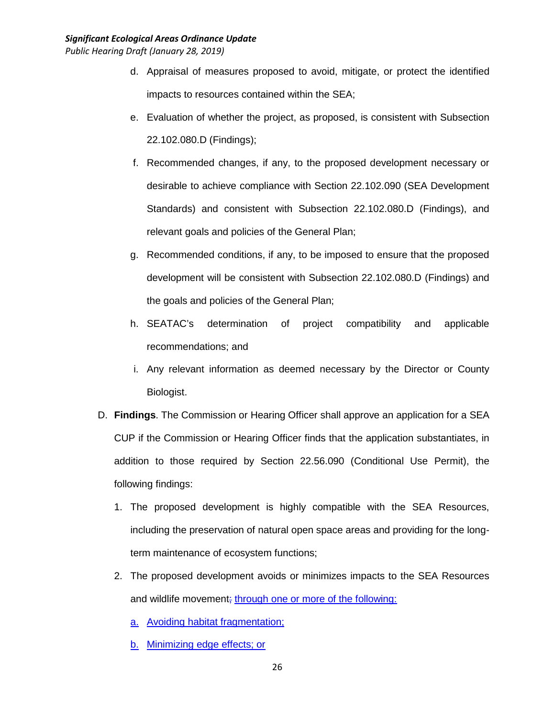- d. Appraisal of measures proposed to avoid, mitigate, or protect the identified impacts to resources contained within the SEA;
- e. Evaluation of whether the project, as proposed, is consistent with Subsection 22.102.080.D (Findings);
- f. Recommended changes, if any, to the proposed development necessary or desirable to achieve compliance with Section 22.102.090 (SEA Development Standards) and consistent with Subsection 22.102.080.D (Findings), and relevant goals and policies of the General Plan;
- g. Recommended conditions, if any, to be imposed to ensure that the proposed development will be consistent with Subsection 22.102.080.D (Findings) and the goals and policies of the General Plan;
- h. SEATAC's determination of project compatibility and applicable recommendations; and
- i. Any relevant information as deemed necessary by the Director or County Biologist.
- D. **Findings**. The Commission or Hearing Officer shall approve an application for a SEA CUP if the Commission or Hearing Officer finds that the application substantiates, in addition to those required by Section 22.56.090 (Conditional Use Permit), the following findings:
	- 1. The proposed development is highly compatible with the SEA Resources, including the preservation of natural open space areas and providing for the longterm maintenance of ecosystem functions;
	- 2. The proposed development avoids or minimizes impacts to the SEA Resources and wildlife movement; through one or more of the following:
		- a. Avoiding habitat fragmentation;
		- b. Minimizing edge effects; or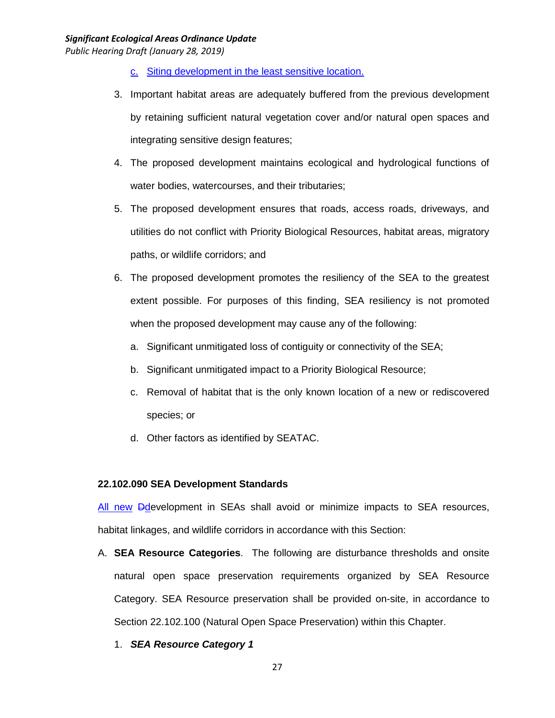*Public Hearing Draft (January 28, 2019)*

- c. Siting development in the least sensitive location.
- 3. Important habitat areas are adequately buffered from the previous development by retaining sufficient natural vegetation cover and/or natural open spaces and integrating sensitive design features;
- 4. The proposed development maintains ecological and hydrological functions of water bodies, watercourses, and their tributaries;
- 5. The proposed development ensures that roads, access roads, driveways, and utilities do not conflict with Priority Biological Resources, habitat areas, migratory paths, or wildlife corridors; and
- 6. The proposed development promotes the resiliency of the SEA to the greatest extent possible. For purposes of this finding, SEA resiliency is not promoted when the proposed development may cause any of the following:
	- a. Significant unmitigated loss of contiguity or connectivity of the SEA;
	- b. Significant unmitigated impact to a Priority Biological Resource;
	- c. Removal of habitat that is the only known location of a new or rediscovered species; or
	- d. Other factors as identified by SEATAC.

## **22.102.090 SEA Development Standards**

All new Ddevelopment in SEAs shall avoid or minimize impacts to SEA resources, habitat linkages, and wildlife corridors in accordance with this Section:

- A. **SEA Resource Categories**. The following are disturbance thresholds and onsite natural open space preservation requirements organized by SEA Resource Category. SEA Resource preservation shall be provided on-site, in accordance to Section 22.102.100 (Natural Open Space Preservation) within this Chapter.
	- 1. *SEA Resource Category 1*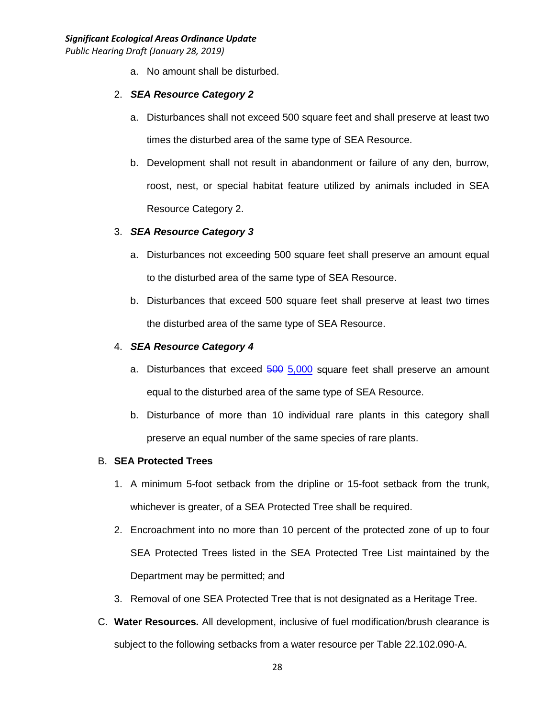a. No amount shall be disturbed.

## 2. *SEA Resource Category 2*

- a. Disturbances shall not exceed 500 square feet and shall preserve at least two times the disturbed area of the same type of SEA Resource.
- b. Development shall not result in abandonment or failure of any den, burrow, roost, nest, or special habitat feature utilized by animals included in SEA Resource Category 2.

## 3. *SEA Resource Category 3*

- a. Disturbances not exceeding 500 square feet shall preserve an amount equal to the disturbed area of the same type of SEA Resource.
- b. Disturbances that exceed 500 square feet shall preserve at least two times the disturbed area of the same type of SEA Resource.

## 4. *SEA Resource Category 4*

- a. Disturbances that exceed 500 5,000 square feet shall preserve an amount equal to the disturbed area of the same type of SEA Resource.
- b. Disturbance of more than 10 individual rare plants in this category shall preserve an equal number of the same species of rare plants.

## B. **SEA Protected Trees**

- 1. A minimum 5-foot setback from the dripline or 15-foot setback from the trunk, whichever is greater, of a SEA Protected Tree shall be required.
- 2. Encroachment into no more than 10 percent of the protected zone of up to four SEA Protected Trees listed in the SEA Protected Tree List maintained by the Department may be permitted; and
- 3. Removal of one SEA Protected Tree that is not designated as a Heritage Tree.
- C. **Water Resources.** All development, inclusive of fuel modification/brush clearance is subject to the following setbacks from a water resource per Table 22.102.090-A.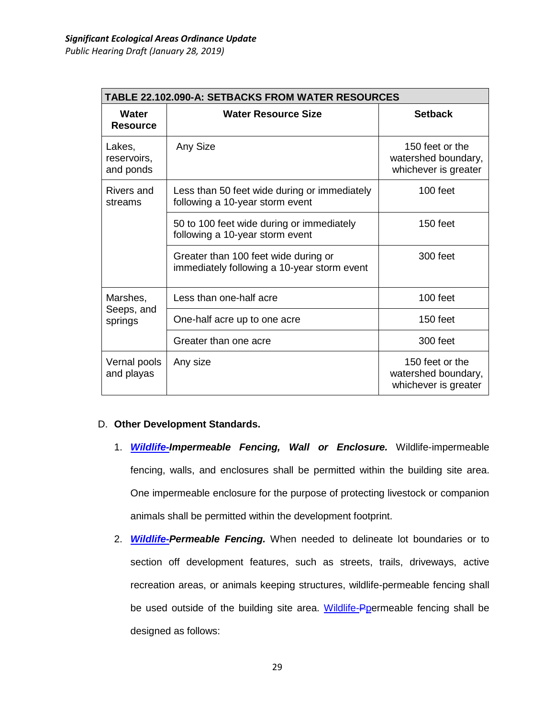| <b>TABLE 22.102.090-A: SETBACKS FROM WATER RESOURCES</b> |                                                                                     |                                                                |  |  |
|----------------------------------------------------------|-------------------------------------------------------------------------------------|----------------------------------------------------------------|--|--|
| Water<br><b>Resource</b>                                 | <b>Water Resource Size</b>                                                          | <b>Setback</b>                                                 |  |  |
| Lakes,<br>reservoirs,<br>and ponds                       | Any Size                                                                            | 150 feet or the<br>watershed boundary,<br>whichever is greater |  |  |
| Rivers and<br>streams                                    | Less than 50 feet wide during or immediately<br>following a 10-year storm event     | 100 feet                                                       |  |  |
|                                                          | 50 to 100 feet wide during or immediately<br>following a 10-year storm event        | $150$ feet                                                     |  |  |
|                                                          | Greater than 100 feet wide during or<br>immediately following a 10-year storm event | 300 feet                                                       |  |  |
| Marshes,                                                 | Less than one-half acre                                                             | $100$ feet                                                     |  |  |
| Seeps, and<br>springs                                    | One-half acre up to one acre                                                        | $150$ feet                                                     |  |  |
|                                                          | Greater than one acre                                                               | 300 feet                                                       |  |  |
| Vernal pools<br>and playas                               | Any size                                                                            | 150 feet or the<br>watershed boundary,<br>whichever is greater |  |  |

## D. **Other Development Standards.**

- 1. *Wildlife-Impermeable Fencing, Wall or Enclosure.* Wildlife-impermeable fencing, walls, and enclosures shall be permitted within the building site area. One impermeable enclosure for the purpose of protecting livestock or companion animals shall be permitted within the development footprint.
- 2. *Wildlife-Permeable Fencing.* When needed to delineate lot boundaries or to section off development features, such as streets, trails, driveways, active recreation areas, or animals keeping structures, wildlife-permeable fencing shall be used outside of the building site area. Wildlife-Ppermeable fencing shall be designed as follows: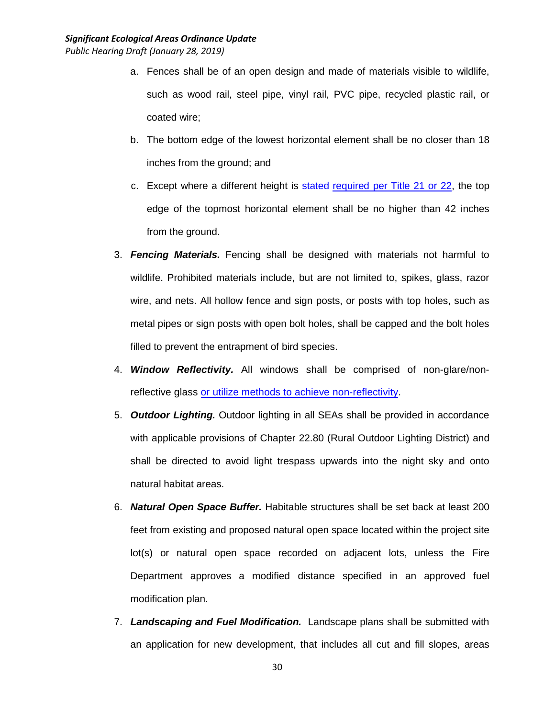- a. Fences shall be of an open design and made of materials visible to wildlife, such as wood rail, steel pipe, vinyl rail, PVC pipe, recycled plastic rail, or coated wire;
- b. The bottom edge of the lowest horizontal element shall be no closer than 18 inches from the ground; and
- c. Except where a different height is stated required per Title 21 or 22, the top edge of the topmost horizontal element shall be no higher than 42 inches from the ground.
- 3. *Fencing Materials.* Fencing shall be designed with materials not harmful to wildlife. Prohibited materials include, but are not limited to, spikes, glass, razor wire, and nets. All hollow fence and sign posts, or posts with top holes, such as metal pipes or sign posts with open bolt holes, shall be capped and the bolt holes filled to prevent the entrapment of bird species.
- 4. *Window Reflectivity.* All windows shall be comprised of non-glare/nonreflective glass or utilize methods to achieve non-reflectivity.
- 5. *Outdoor Lighting.* Outdoor lighting in all SEAs shall be provided in accordance with applicable provisions of Chapter 22.80 (Rural Outdoor Lighting District) and shall be directed to avoid light trespass upwards into the night sky and onto natural habitat areas.
- 6. *Natural Open Space Buffer.* Habitable structures shall be set back at least 200 feet from existing and proposed natural open space located within the project site lot(s) or natural open space recorded on adjacent lots, unless the Fire Department approves a modified distance specified in an approved fuel modification plan.
- 7. *Landscaping and Fuel Modification.* Landscape plans shall be submitted with an application for new development, that includes all cut and fill slopes, areas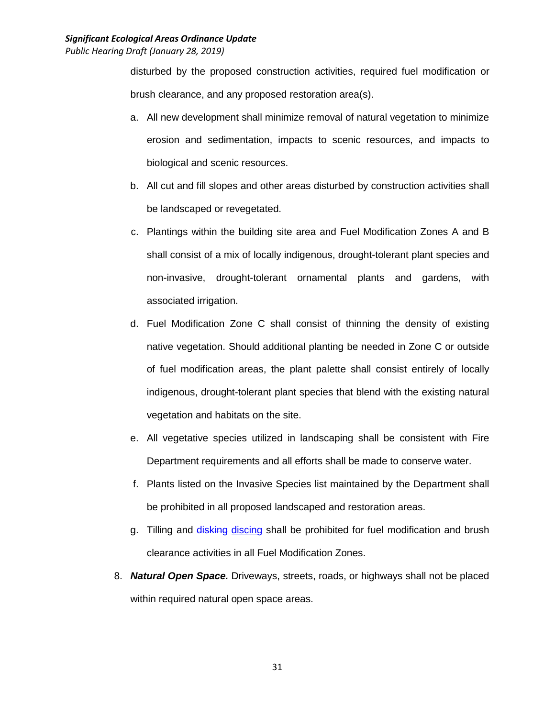disturbed by the proposed construction activities, required fuel modification or brush clearance, and any proposed restoration area(s).

- a. All new development shall minimize removal of natural vegetation to minimize erosion and sedimentation, impacts to scenic resources, and impacts to biological and scenic resources.
- b. All cut and fill slopes and other areas disturbed by construction activities shall be landscaped or revegetated.
- c. Plantings within the building site area and Fuel Modification Zones A and B shall consist of a mix of locally indigenous, drought-tolerant plant species and non-invasive, drought-tolerant ornamental plants and gardens, with associated irrigation.
- d. Fuel Modification Zone C shall consist of thinning the density of existing native vegetation. Should additional planting be needed in Zone C or outside of fuel modification areas, the plant palette shall consist entirely of locally indigenous, drought-tolerant plant species that blend with the existing natural vegetation and habitats on the site.
- e. All vegetative species utilized in landscaping shall be consistent with Fire Department requirements and all efforts shall be made to conserve water.
- f. Plants listed on the Invasive Species list maintained by the Department shall be prohibited in all proposed landscaped and restoration areas.
- g. Tilling and disking discing shall be prohibited for fuel modification and brush clearance activities in all Fuel Modification Zones.
- 8. *Natural Open Space.* Driveways, streets, roads, or highways shall not be placed within required natural open space areas.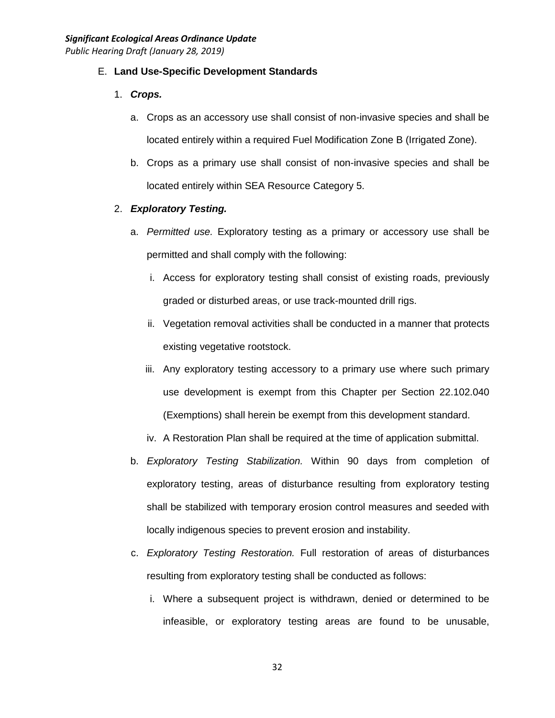#### E. **Land Use-Specific Development Standards**

- 1. *Crops.*
	- a. Crops as an accessory use shall consist of non-invasive species and shall be located entirely within a required Fuel Modification Zone B (Irrigated Zone).
	- b. Crops as a primary use shall consist of non-invasive species and shall be located entirely within SEA Resource Category 5.

#### 2. *Exploratory Testing.*

- a. *Permitted use.* Exploratory testing as a primary or accessory use shall be permitted and shall comply with the following:
	- i. Access for exploratory testing shall consist of existing roads, previously graded or disturbed areas, or use track-mounted drill rigs.
	- ii. Vegetation removal activities shall be conducted in a manner that protects existing vegetative rootstock.
	- iii. Any exploratory testing accessory to a primary use where such primary use development is exempt from this Chapter per Section 22.102.040 (Exemptions) shall herein be exempt from this development standard.
	- iv. A Restoration Plan shall be required at the time of application submittal.
- b. *Exploratory Testing Stabilization.* Within 90 days from completion of exploratory testing, areas of disturbance resulting from exploratory testing shall be stabilized with temporary erosion control measures and seeded with locally indigenous species to prevent erosion and instability.
- c. *Exploratory Testing Restoration.* Full restoration of areas of disturbances resulting from exploratory testing shall be conducted as follows:
	- i. Where a subsequent project is withdrawn, denied or determined to be infeasible, or exploratory testing areas are found to be unusable,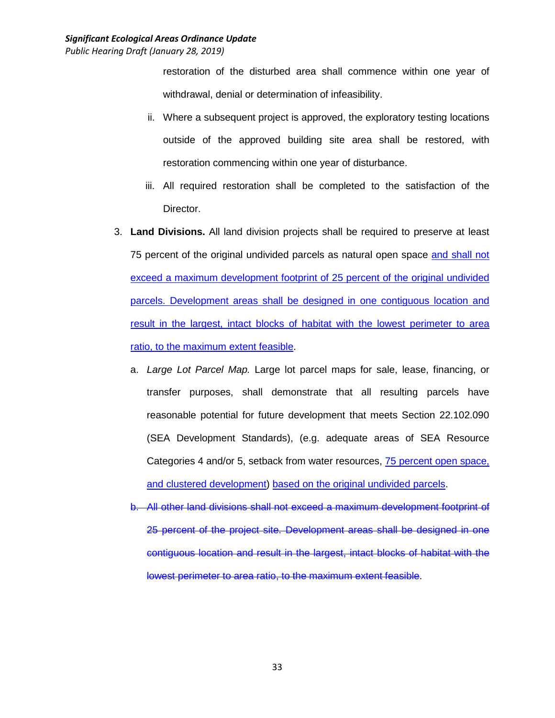restoration of the disturbed area shall commence within one year of withdrawal, denial or determination of infeasibility.

- ii. Where a subsequent project is approved, the exploratory testing locations outside of the approved building site area shall be restored, with restoration commencing within one year of disturbance.
- iii. All required restoration shall be completed to the satisfaction of the Director.
- 3. **Land Divisions.** All land division projects shall be required to preserve at least 75 percent of the original undivided parcels as natural open space and shall not exceed a maximum development footprint of 25 percent of the original undivided parcels. Development areas shall be designed in one contiguous location and result in the largest, intact blocks of habitat with the lowest perimeter to area ratio, to the maximum extent feasible.
	- a. *Large Lot Parcel Map.* Large lot parcel maps for sale, lease, financing, or transfer purposes, shall demonstrate that all resulting parcels have reasonable potential for future development that meets Section 22.102.090 (SEA Development Standards), (e.g. adequate areas of SEA Resource Categories 4 and/or 5, setback from water resources, 75 percent open space, and clustered development) based on the original undivided parcels.
	- b. All other land divisions shall not exceed a maximum development footprint of 25 percent of the project site. Development areas shall be designed in one contiguous location and result in the largest, intact blocks of habitat with the lowest perimeter to area ratio, to the maximum extent feasible.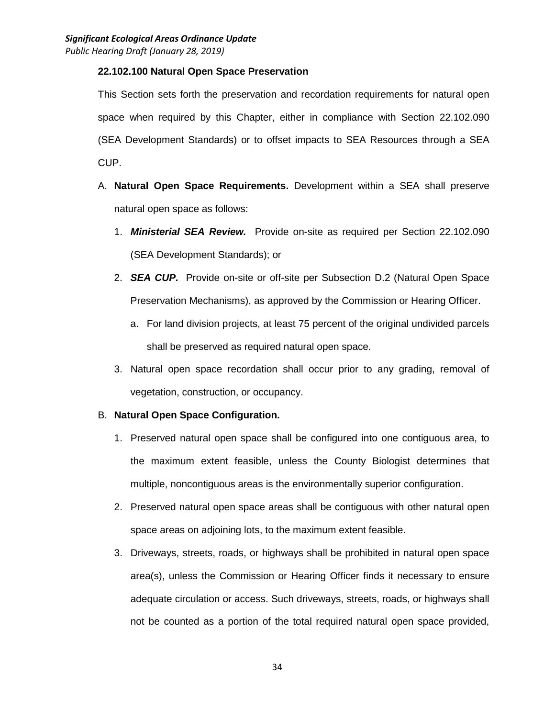#### **22.102.100 Natural Open Space Preservation**

This Section sets forth the preservation and recordation requirements for natural open space when required by this Chapter, either in compliance with Section 22.102.090 (SEA Development Standards) or to offset impacts to SEA Resources through a SEA CUP.

- A. **Natural Open Space Requirements.** Development within a SEA shall preserve natural open space as follows:
	- 1. *Ministerial SEA Review.* Provide on-site as required per Section 22.102.090 (SEA Development Standards); or
	- 2. *SEA CUP.* Provide on-site or off-site per Subsection D.2 (Natural Open Space Preservation Mechanisms), as approved by the Commission or Hearing Officer.
		- a. For land division projects, at least 75 percent of the original undivided parcels shall be preserved as required natural open space.
	- 3. Natural open space recordation shall occur prior to any grading, removal of vegetation, construction, or occupancy.

## B. **Natural Open Space Configuration.**

- 1. Preserved natural open space shall be configured into one contiguous area, to the maximum extent feasible, unless the County Biologist determines that multiple, noncontiguous areas is the environmentally superior configuration.
- 2. Preserved natural open space areas shall be contiguous with other natural open space areas on adjoining lots, to the maximum extent feasible.
- 3. Driveways, streets, roads, or highways shall be prohibited in natural open space area(s), unless the Commission or Hearing Officer finds it necessary to ensure adequate circulation or access. Such driveways, streets, roads, or highways shall not be counted as a portion of the total required natural open space provided,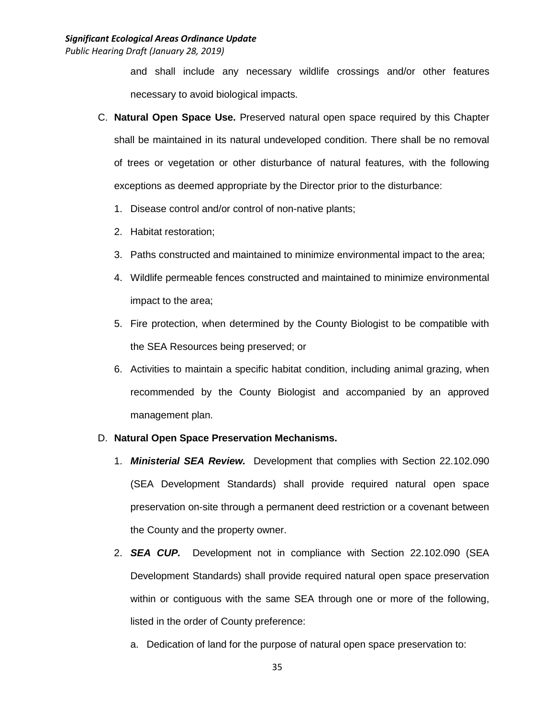and shall include any necessary wildlife crossings and/or other features necessary to avoid biological impacts.

- C. **Natural Open Space Use.** Preserved natural open space required by this Chapter shall be maintained in its natural undeveloped condition. There shall be no removal of trees or vegetation or other disturbance of natural features, with the following exceptions as deemed appropriate by the Director prior to the disturbance:
	- 1. Disease control and/or control of non-native plants;
	- 2. Habitat restoration;
	- 3. Paths constructed and maintained to minimize environmental impact to the area;
	- 4. Wildlife permeable fences constructed and maintained to minimize environmental impact to the area;
	- 5. Fire protection, when determined by the County Biologist to be compatible with the SEA Resources being preserved; or
	- 6. Activities to maintain a specific habitat condition, including animal grazing, when recommended by the County Biologist and accompanied by an approved management plan.

#### D. **Natural Open Space Preservation Mechanisms.**

- 1. *Ministerial SEA Review.* Development that complies with Section 22.102.090 (SEA Development Standards) shall provide required natural open space preservation on-site through a permanent deed restriction or a covenant between the County and the property owner.
- 2. *SEA CUP.* Development not in compliance with Section 22.102.090 (SEA Development Standards) shall provide required natural open space preservation within or contiguous with the same SEA through one or more of the following, listed in the order of County preference:
	- a. Dedication of land for the purpose of natural open space preservation to: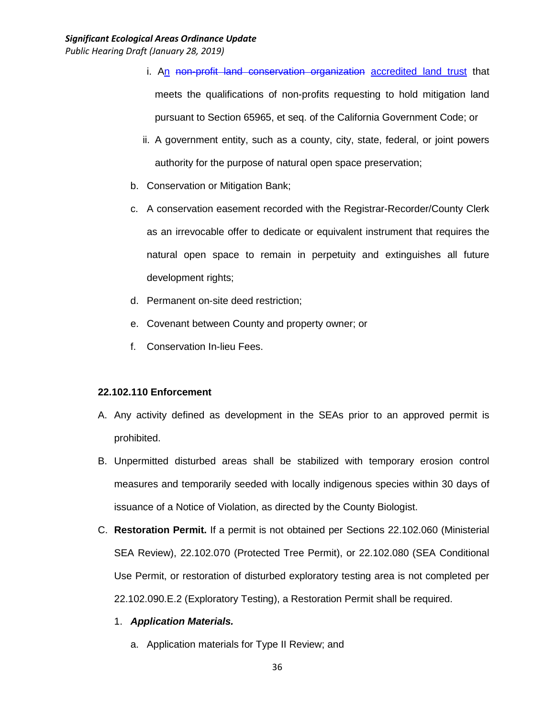- i. An non-profit land conservation organization accredited land trust that meets the qualifications of non-profits requesting to hold mitigation land pursuant to Section 65965, et seq. of the California Government Code; or
- ii. A government entity, such as a county, city, state, federal, or joint powers authority for the purpose of natural open space preservation;
- b. Conservation or Mitigation Bank;
- c. A conservation easement recorded with the Registrar-Recorder/County Clerk as an irrevocable offer to dedicate or equivalent instrument that requires the natural open space to remain in perpetuity and extinguishes all future development rights;
- d. Permanent on-site deed restriction;
- e. Covenant between County and property owner; or
- f. Conservation In-lieu Fees.

#### **22.102.110 Enforcement**

- A. Any activity defined as development in the SEAs prior to an approved permit is prohibited.
- B. Unpermitted disturbed areas shall be stabilized with temporary erosion control measures and temporarily seeded with locally indigenous species within 30 days of issuance of a Notice of Violation, as directed by the County Biologist.
- C. **Restoration Permit.** If a permit is not obtained per Sections 22.102.060 (Ministerial SEA Review), 22.102.070 (Protected Tree Permit), or 22.102.080 (SEA Conditional Use Permit, or restoration of disturbed exploratory testing area is not completed per 22.102.090.E.2 (Exploratory Testing), a Restoration Permit shall be required.
	- 1. *Application Materials.*
		- a. Application materials for Type II Review; and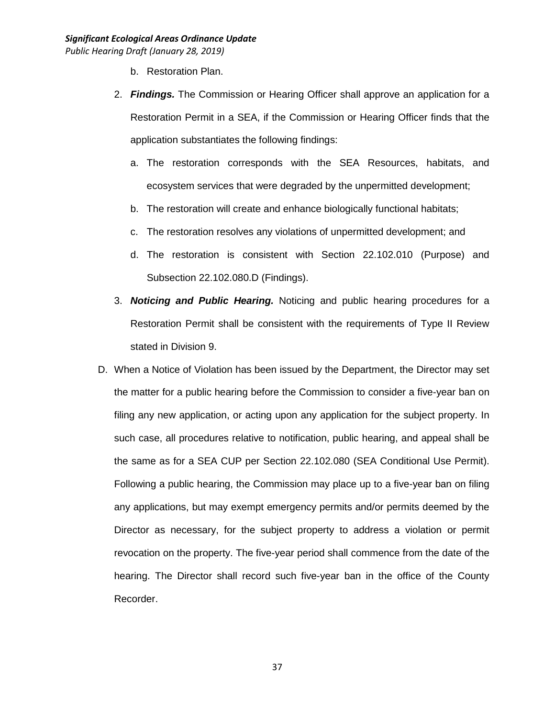- b. Restoration Plan.
- 2. *Findings.* The Commission or Hearing Officer shall approve an application for a Restoration Permit in a SEA, if the Commission or Hearing Officer finds that the application substantiates the following findings:
	- a. The restoration corresponds with the SEA Resources, habitats, and ecosystem services that were degraded by the unpermitted development;
	- b. The restoration will create and enhance biologically functional habitats;
	- c. The restoration resolves any violations of unpermitted development; and
	- d. The restoration is consistent with Section 22.102.010 (Purpose) and Subsection 22.102.080.D (Findings).
- 3. *Noticing and Public Hearing.* Noticing and public hearing procedures for a Restoration Permit shall be consistent with the requirements of Type II Review stated in Division 9.
- D. When a Notice of Violation has been issued by the Department, the Director may set the matter for a public hearing before the Commission to consider a five-year ban on filing any new application, or acting upon any application for the subject property. In such case, all procedures relative to notification, public hearing, and appeal shall be the same as for a SEA CUP per Section 22.102.080 (SEA Conditional Use Permit). Following a public hearing, the Commission may place up to a five-year ban on filing any applications, but may exempt emergency permits and/or permits deemed by the Director as necessary, for the subject property to address a violation or permit revocation on the property. The five-year period shall commence from the date of the hearing. The Director shall record such five-year ban in the office of the County Recorder.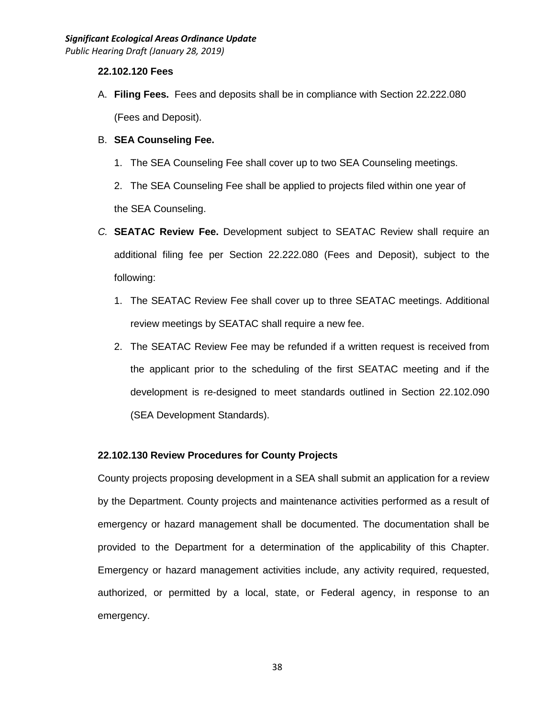#### **22.102.120 Fees**

A. **Filing Fees.** Fees and deposits shall be in compliance with Section 22.222.080 (Fees and Deposit).

## B. **SEA Counseling Fee.**

1. The SEA Counseling Fee shall cover up to two SEA Counseling meetings.

2. The SEA Counseling Fee shall be applied to projects filed within one year of the SEA Counseling.

- *C.* **SEATAC Review Fee.** Development subject to SEATAC Review shall require an additional filing fee per Section 22.222.080 (Fees and Deposit), subject to the following:
	- 1. The SEATAC Review Fee shall cover up to three SEATAC meetings. Additional review meetings by SEATAC shall require a new fee.
	- 2. The SEATAC Review Fee may be refunded if a written request is received from the applicant prior to the scheduling of the first SEATAC meeting and if the development is re-designed to meet standards outlined in Section 22.102.090 (SEA Development Standards).

## **22.102.130 Review Procedures for County Projects**

County projects proposing development in a SEA shall submit an application for a review by the Department. County projects and maintenance activities performed as a result of emergency or hazard management shall be documented. The documentation shall be provided to the Department for a determination of the applicability of this Chapter. Emergency or hazard management activities include, any activity required, requested, authorized, or permitted by a local, state, or Federal agency, in response to an emergency.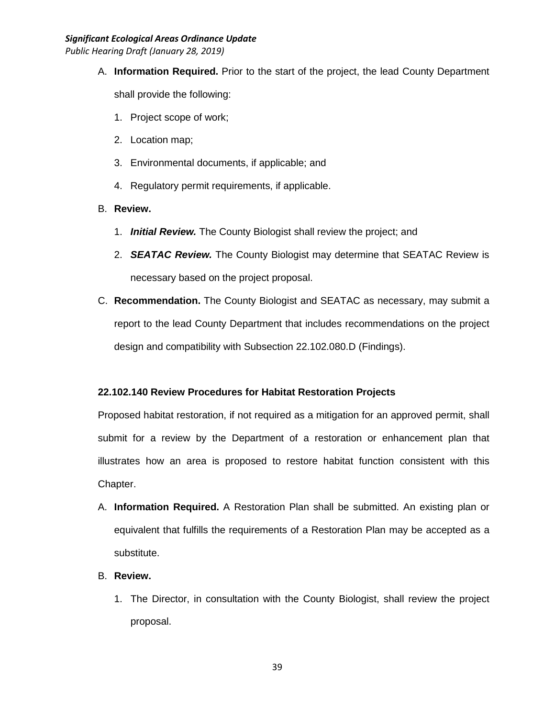*Public Hearing Draft (January 28, 2019)*

A. **Information Required.** Prior to the start of the project, the lead County Department

shall provide the following:

- 1. Project scope of work;
- 2. Location map;
- 3. Environmental documents, if applicable; and
- 4. Regulatory permit requirements, if applicable.

## B. **Review.**

- 1. *Initial Review.* The County Biologist shall review the project; and
- 2. *SEATAC Review.* The County Biologist may determine that SEATAC Review is necessary based on the project proposal.
- C. **Recommendation.** The County Biologist and SEATAC as necessary, may submit a report to the lead County Department that includes recommendations on the project design and compatibility with Subsection 22.102.080.D (Findings).

# **22.102.140 Review Procedures for Habitat Restoration Projects**

Proposed habitat restoration, if not required as a mitigation for an approved permit, shall submit for a review by the Department of a restoration or enhancement plan that illustrates how an area is proposed to restore habitat function consistent with this Chapter.

- A. **Information Required.** A Restoration Plan shall be submitted. An existing plan or equivalent that fulfills the requirements of a Restoration Plan may be accepted as a substitute.
- B. **Review.** 
	- 1. The Director, in consultation with the County Biologist, shall review the project proposal.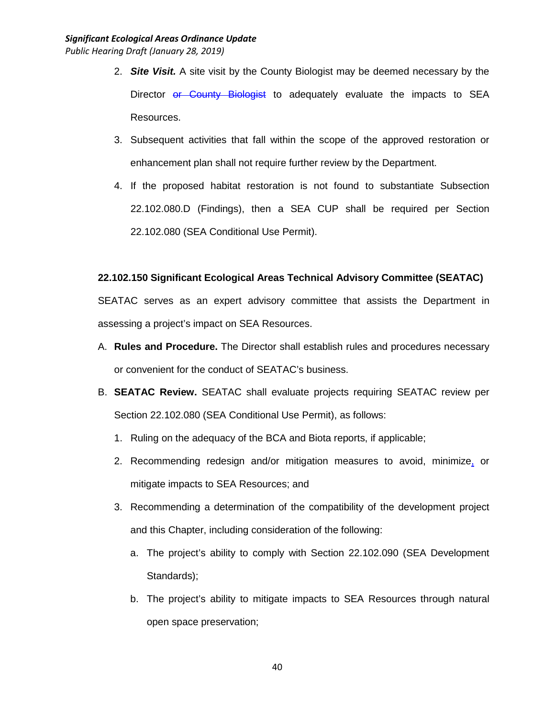- 2. *Site Visit.* A site visit by the County Biologist may be deemed necessary by the Director or County Biologist to adequately evaluate the impacts to SEA Resources.
- 3. Subsequent activities that fall within the scope of the approved restoration or enhancement plan shall not require further review by the Department.
- 4. If the proposed habitat restoration is not found to substantiate Subsection 22.102.080.D (Findings), then a SEA CUP shall be required per Section 22.102.080 (SEA Conditional Use Permit).

## **22.102.150 Significant Ecological Areas Technical Advisory Committee (SEATAC)**

SEATAC serves as an expert advisory committee that assists the Department in assessing a project's impact on SEA Resources.

- A. **Rules and Procedure.** The Director shall establish rules and procedures necessary or convenient for the conduct of SEATAC's business.
- B. **SEATAC Review.** SEATAC shall evaluate projects requiring SEATAC review per Section 22.102.080 (SEA Conditional Use Permit), as follows:
	- 1. Ruling on the adequacy of the BCA and Biota reports, if applicable;
	- 2. Recommending redesign and/or mitigation measures to avoid, minimize, or mitigate impacts to SEA Resources; and
	- 3. Recommending a determination of the compatibility of the development project and this Chapter, including consideration of the following:
		- a. The project's ability to comply with Section 22.102.090 (SEA Development Standards);
		- b. The project's ability to mitigate impacts to SEA Resources through natural open space preservation;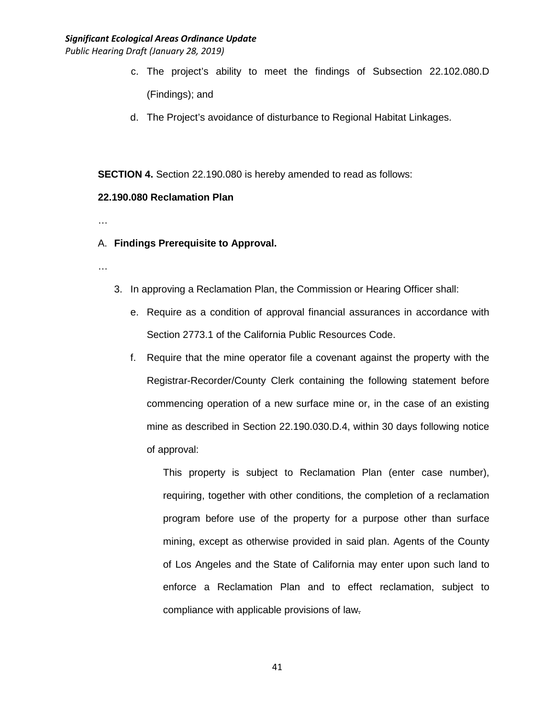*Public Hearing Draft (January 28, 2019)*

- c. The project's ability to meet the findings of Subsection 22.102.080.D (Findings); and
- d. The Project's avoidance of disturbance to Regional Habitat Linkages.

**SECTION 4.** Section 22.190.080 is hereby amended to read as follows:

#### **22.190.080 Reclamation Plan**

…

#### A. **Findings Prerequisite to Approval.**

- …
- 3. In approving a Reclamation Plan, the Commission or Hearing Officer shall:
	- e. Require as a condition of approval financial assurances in accordance with Section 2773.1 of the California Public Resources Code.
	- f. Require that the mine operator file a covenant against the property with the Registrar-Recorder/County Clerk containing the following statement before commencing operation of a new surface mine or, in the case of an existing mine as described in Section 22.190.030.D.4, within 30 days following notice of approval:

This property is subject to Reclamation Plan (enter case number), requiring, together with other conditions, the completion of a reclamation program before use of the property for a purpose other than surface mining, except as otherwise provided in said plan. Agents of the County of Los Angeles and the State of California may enter upon such land to enforce a Reclamation Plan and to effect reclamation, subject to compliance with applicable provisions of law.

41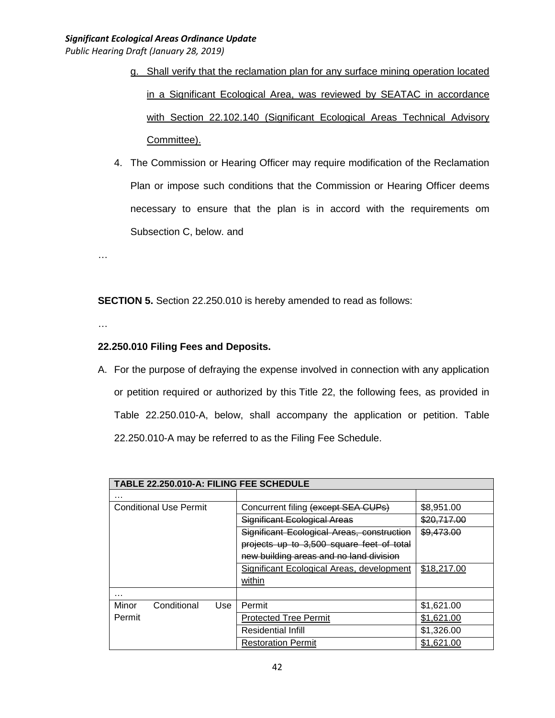- g. Shall verify that the reclamation plan for any surface mining operation located in a Significant Ecological Area, was reviewed by SEATAC in accordance with Section 22.102.140 (Significant Ecological Areas Technical Advisory Committee).
- 4. The Commission or Hearing Officer may require modification of the Reclamation Plan or impose such conditions that the Commission or Hearing Officer deems necessary to ensure that the plan is in accord with the requirements om Subsection C, below. and

**SECTION 5.** Section 22.250.010 is hereby amended to read as follows:

…

…

## **22.250.010 Filing Fees and Deposits.**

A. For the purpose of defraying the expense involved in connection with any application or petition required or authorized by this Title 22, the following fees, as provided in Table 22.250.010-A, below, shall accompany the application or petition. Table 22.250.010-A may be referred to as the Filing Fee Schedule.

| TABLE 22.250.010-A: FILING FEE SCHEDULE |                                            |             |  |
|-----------------------------------------|--------------------------------------------|-------------|--|
| .                                       |                                            |             |  |
| <b>Conditional Use Permit</b>           | Concurrent filing (except SEA CUPs)        | \$8,951.00  |  |
|                                         | Significant Ecological Areas               | \$20,717.00 |  |
|                                         | Significant Ecological Areas, construction | \$9,473.00  |  |
|                                         | projects up to 3,500 square feet of total  |             |  |
|                                         | new building areas and no land division    |             |  |
|                                         | Significant Ecological Areas, development  | \$18,217.00 |  |
|                                         | within                                     |             |  |
| .                                       |                                            |             |  |
| Minor<br>Conditional<br>Use             | Permit                                     | \$1,621.00  |  |
| Permit                                  | <b>Protected Tree Permit</b>               | \$1,621.00  |  |
|                                         | <b>Residential Infill</b>                  | \$1,326.00  |  |
|                                         | <b>Restoration Permit</b>                  | \$1,621.00  |  |